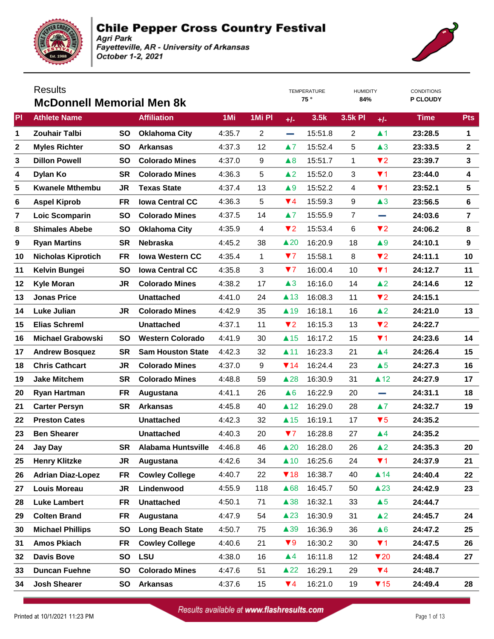



|                | <b>Results</b>                   |           |                          |        |                |                        | <b>TEMPERATURE</b> | <b>HUMIDITY</b> |                         | <b>CONDITIONS</b> |                |
|----------------|----------------------------------|-----------|--------------------------|--------|----------------|------------------------|--------------------|-----------------|-------------------------|-------------------|----------------|
|                | <b>McDonnell Memorial Men 8k</b> |           |                          |        |                |                        | 75°                | 84%             |                         | P CLOUDY          |                |
| PI             | <b>Athlete Name</b>              |           | <b>Affiliation</b>       | 1Mi    | 1Mi PI         | $+/-$                  | 3.5k               | 3.5k PI         | $+/-$                   | <b>Time</b>       | <b>Pts</b>     |
| 1              | <b>Zouhair Talbi</b>             | <b>SO</b> | <b>Oklahoma City</b>     | 4:35.7 | $\overline{2}$ | e.                     | 15:51.8            | 2               | $\blacktriangle$ 1      | 23:28.5           | 1              |
| $\mathbf{2}$   | <b>Myles Richter</b>             | <b>SO</b> | <b>Arkansas</b>          | 4:37.3 | 12             | $\blacktriangle 7$     | 15:52.4            | 5               | $\triangle 3$           | 23:33.5           | $\mathbf{2}$   |
| 3              | <b>Dillon Powell</b>             | <b>SO</b> | <b>Colorado Mines</b>    | 4:37.0 | 9              | $\triangle 8$          | 15:51.7            | 1               | $\blacktriangledown$ 2  | 23:39.7           | $\mathbf{3}$   |
| 4              | Dylan Ko                         | <b>SR</b> | <b>Colorado Mines</b>    | 4:36.3 | 5              | $\triangle$ 2          | 15:52.0            | 3               | $\P$ 1                  | 23:44.0           | 4              |
| 5              | <b>Kwanele Mthembu</b>           | <b>JR</b> | <b>Texas State</b>       | 4:37.4 | 13             | $\blacktriangle 9$     | 15:52.2            | 4               | $\P$ 1                  | 23:52.1           | 5              |
| 6              | <b>Aspel Kiprob</b>              | FR        | <b>Iowa Central CC</b>   | 4:36.3 | 5              | $\P$ 4                 | 15:59.3            | 9               | $\triangle 3$           | 23:56.5           | 6              |
| $\overline{7}$ | Loic Scomparin                   | <b>SO</b> | <b>Colorado Mines</b>    | 4:37.5 | 14             | $\blacktriangle 7$     | 15:55.9            | $\overline{7}$  | e.                      | 24:03.6           | $\overline{7}$ |
| 8              | <b>Shimales Abebe</b>            | <b>SO</b> | <b>Oklahoma City</b>     | 4:35.9 | 4              | $\blacktriangledown$   | 15:53.4            | 6               | $\blacktriangledown$ 2  | 24:06.2           | 8              |
| 9              | <b>Ryan Martins</b>              | <b>SR</b> | <b>Nebraska</b>          | 4:45.2 | 38             | $\triangle 20$         | 16:20.9            | 18              | $\blacktriangle 9$      | 24:10.1           | 9              |
| 10             | <b>Nicholas Kiprotich</b>        | <b>FR</b> | <b>Iowa Western CC</b>   | 4:35.4 | 1              | 77                     | 15:58.1            | 8               | $\blacktriangledown$ 2  | 24:11.1           | 10             |
| 11             | Kelvin Bungei                    | <b>SO</b> | <b>Iowa Central CC</b>   | 4:35.8 | 3              | 77                     | 16:00.4            | 10              | $\P$ 1                  | 24:12.7           | 11             |
| 12             | <b>Kyle Moran</b>                | JR        | <b>Colorado Mines</b>    | 4:38.2 | 17             | $\triangle 3$          | 16:16.0            | 14              | $\triangle$ 2           | 24:14.6           | 12             |
| 13             | <b>Jonas Price</b>               |           | <b>Unattached</b>        | 4:41.0 | 24             | $\triangle$ 13         | 16:08.3            | 11              | $\blacktriangledown$ 2  | 24:15.1           |                |
| 14             | <b>Luke Julian</b>               | JR        | <b>Colorado Mines</b>    | 4:42.9 | 35             | $\blacktriangle$ 19    | 16:18.1            | 16              | $\triangle$ 2           | 24:21.0           | 13             |
| 15             | <b>Elias Schreml</b>             |           | <b>Unattached</b>        | 4:37.1 | 11             | $\P$ 2                 | 16:15.3            | 13              | $\blacktriangledown$ 2  | 24:22.7           |                |
| 16             | <b>Michael Grabowski</b>         | <b>SO</b> | <b>Western Colorado</b>  | 4:41.9 | 30             | $\triangle$ 15         | 16:17.2            | 15              | $\P$ 1                  | 24:23.6           | 14             |
| 17             | <b>Andrew Bosquez</b>            | <b>SR</b> | <b>Sam Houston State</b> | 4:42.3 | 32             | $\blacktriangle$ 11    | 16:23.3            | 21              | $\blacktriangle 4$      | 24:26.4           | 15             |
| 18             | <b>Chris Cathcart</b>            | JR        | <b>Colorado Mines</b>    | 4:37.0 | 9              | $\P$ 14                | 16:24.4            | 23              | $\triangle 5$           | 24:27.3           | 16             |
| 19             | <b>Jake Mitchem</b>              | <b>SR</b> | <b>Colorado Mines</b>    | 4:48.8 | 59             | $\triangle$ 28         | 16:30.9            | 31              | $\triangle$ 12          | 24:27.9           | 17             |
| 20             | <b>Ryan Hartman</b>              | <b>FR</b> | Augustana                | 4:41.1 | 26             | $\triangle 6$          | 16:22.9            | 20              | and a                   | 24:31.1           | 18             |
| 21             | <b>Carter Persyn</b>             | <b>SR</b> | <b>Arkansas</b>          | 4:45.8 | 40             | $\triangle$ 12         | 16:29.0            | 28              | $\blacktriangle$ 7      | 24:32.7           | 19             |
| 22             | <b>Preston Cates</b>             |           | <b>Unattached</b>        | 4:42.3 | 32             | $\triangle$ 15         | 16:19.1            | 17              | $\blacktriangledown 5$  | 24:35.2           |                |
| 23             | <b>Ben Shearer</b>               |           | <b>Unattached</b>        | 4:40.3 | 20             | 77                     | 16:28.8            | 27              | $\blacktriangle 4$      | 24:35.2           |                |
| 24             | Jay Day                          | <b>SR</b> | Alabama Huntsville       | 4:46.8 | 46             | $\triangle 20$         | 16:28.0            | 26              | $\triangle$ 2           | 24:35.3           | 20             |
| 25             | <b>Henry Klitzke</b>             | JR        | Augustana                | 4:42.6 | 34             | $\triangle$ 10         | 16:25.6            | 24              | $\P$ 1                  | 24:37.9           | 21             |
| 26             | <b>Adrian Diaz-Lopez</b>         | FR        | <b>Cowley College</b>    | 4:40.7 | 22             | $\P$ 18                | 16:38.7            | 40              | $\blacktriangle$ 14     | 24:40.4           | 22             |
| 27             | <b>Louis Moreau</b>              | JR        | Lindenwood               | 4:55.9 | 118            | ▲68                    | 16:45.7            | 50              | $\triangle 23$          | 24:42.9           | 23             |
| 28             | <b>Luke Lambert</b>              | FR        | <b>Unattached</b>        | 4:50.1 | 71             | $\triangle$ 38         | 16:32.1            | 33              | $\triangle 5$           | 24:44.7           |                |
| 29             | <b>Colten Brand</b>              | FR        | Augustana                | 4:47.9 | 54             | $\triangle$ 23         | 16:30.9            | 31              | $\triangle$ 2           | 24:45.7           | 24             |
| 30             | <b>Michael Phillips</b>          | SO        | <b>Long Beach State</b>  | 4:50.7 | 75             | $\triangle$ 39         | 16:36.9            | 36              | $\triangle 6$           | 24:47.2           | 25             |
| 31             | <b>Amos Pkiach</b>               | FR        | <b>Cowley College</b>    | 4:40.6 | 21             | $\blacktriangledown 9$ | 16:30.2            | 30              | $\P$ 1                  | 24:47.5           | 26             |
| 32             | <b>Davis Bove</b>                | SO        | <b>LSU</b>               | 4:38.0 | 16             | $\blacktriangle 4$     | 16:11.8            | 12              | $\blacktriangledown$ 20 | 24:48.4           | 27             |
| 33             | <b>Duncan Fuehne</b>             | SO        | <b>Colorado Mines</b>    | 4:47.6 | 51             | $\triangle 22$         | 16:29.1            | 29              | $\Psi$ 4                | 24:48.7           |                |
| 34             | <b>Josh Shearer</b>              | <b>SO</b> | <b>Arkansas</b>          | 4:37.6 | 15             | $\Psi$ 4               | 16:21.0            | 19              | $\blacktriangledown$ 15 | 24:49.4           | 28             |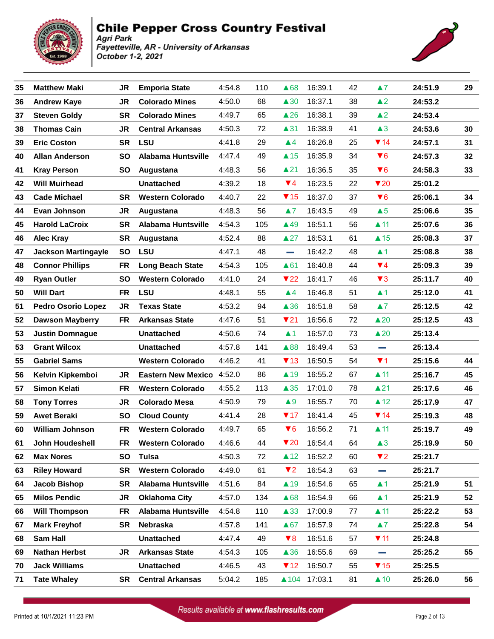

#### **Chile Pepper Cross Country Festival** Agri Park

Fayetteville, AR - University of Arkansas October 1-2, 2021



| 35 | <b>Matthew Maki</b>        | JR        | <b>Emporia State</b>      | 4:54.8 | 110 | ▲68                     | 16:39.1      | 42 | $\blacktriangle$ 7      | 24:51.9 | 29 |
|----|----------------------------|-----------|---------------------------|--------|-----|-------------------------|--------------|----|-------------------------|---------|----|
| 36 | <b>Andrew Kaye</b>         | JR        | <b>Colorado Mines</b>     | 4:50.0 | 68  | $\triangle 30$          | 16:37.1      | 38 | $\triangle$ 2           | 24:53.2 |    |
| 37 | <b>Steven Goldy</b>        | <b>SR</b> | <b>Colorado Mines</b>     | 4:49.7 | 65  | $\triangle$ 26          | 16:38.1      | 39 | $\triangle$ 2           | 24:53.4 |    |
| 38 | <b>Thomas Cain</b>         | <b>JR</b> | <b>Central Arkansas</b>   | 4:50.3 | 72  | $\blacktriangle$ 31     | 16:38.9      | 41 | $\triangle 3$           | 24:53.6 | 30 |
| 39 | <b>Eric Coston</b>         | <b>SR</b> | <b>LSU</b>                | 4:41.8 | 29  | $\blacktriangle$ 4      | 16:26.8      | 25 | $\P$ 14                 | 24:57.1 | 31 |
| 40 | <b>Allan Anderson</b>      | <b>SO</b> | <b>Alabama Huntsville</b> | 4:47.4 | 49  | $\triangle$ 15          | 16:35.9      | 34 | $\blacktriangledown 6$  | 24:57.3 | 32 |
| 41 | <b>Kray Person</b>         | <b>SO</b> | Augustana                 | 4:48.3 | 56  | $\triangle$ 21          | 16:36.5      | 35 | $\blacktriangledown 6$  | 24:58.3 | 33 |
| 42 | <b>Will Muirhead</b>       |           | <b>Unattached</b>         | 4:39.2 | 18  | $\P$ 4                  | 16:23.5      | 22 | $\blacktriangledown$ 20 | 25:01.2 |    |
| 43 | <b>Cade Michael</b>        | <b>SR</b> | <b>Western Colorado</b>   | 4:40.7 | 22  | $\P$ 15                 | 16:37.0      | 37 | $\blacktriangledown 6$  | 25:06.1 | 34 |
| 44 | Evan Johnson               | <b>JR</b> | Augustana                 | 4:48.3 | 56  | $\blacktriangle 7$      | 16:43.5      | 49 | $\triangle 5$           | 25:06.6 | 35 |
| 45 | <b>Harold LaCroix</b>      | <b>SR</b> | <b>Alabama Huntsville</b> | 4:54.3 | 105 | $\triangle$ 49          | 16:51.1      | 56 | $\blacktriangle$ 11     | 25:07.6 | 36 |
| 46 | <b>Alec Kray</b>           | <b>SR</b> | Augustana                 | 4:52.4 | 88  | $\triangle 27$          | 16:53.1      | 61 | $\triangle$ 15          | 25:08.3 | 37 |
| 47 | <b>Jackson Martingayle</b> | SO        | <b>LSU</b>                | 4:47.1 | 48  | <b>College</b>          | 16:42.2      | 48 | $\blacktriangle$ 1      | 25:08.8 | 38 |
| 48 | <b>Connor Phillips</b>     | <b>FR</b> | <b>Long Beach State</b>   | 4:54.3 | 105 | ▲61                     | 16:40.8      | 44 | $\Psi$ 4                | 25:09.3 | 39 |
| 49 | <b>Ryan Outler</b>         | <b>SO</b> | <b>Western Colorado</b>   | 4:41.0 | 24  | $\blacktriangledown$ 22 | 16:41.7      | 46 | $\blacktriangledown$ 3  | 25:11.7 | 40 |
| 50 | <b>Will Dart</b>           | <b>FR</b> | <b>LSU</b>                | 4:48.1 | 55  | $\blacktriangle 4$      | 16:46.8      | 51 | $\blacktriangle$ 1      | 25:12.0 | 41 |
| 51 | <b>Pedro Osorio Lopez</b>  | JR        | <b>Texas State</b>        | 4:53.2 | 94  | $\triangle$ 36          | 16:51.8      | 58 | $\blacktriangle$ 7      | 25:12.5 | 42 |
| 52 | <b>Dawson Mayberry</b>     | <b>FR</b> | <b>Arkansas State</b>     | 4:47.6 | 51  | $\nabla 21$             | 16:56.6      | 72 | $\triangle 20$          | 25:12.5 | 43 |
| 53 | <b>Justin Domnague</b>     |           | <b>Unattached</b>         | 4:50.6 | 74  | $\blacktriangle$ 1      | 16:57.0      | 73 | $\triangle 20$          | 25:13.4 |    |
| 53 | <b>Grant Wilcox</b>        |           | <b>Unattached</b>         | 4:57.8 | 141 | ▲88                     | 16:49.4      | 53 | e.                      | 25:13.4 |    |
| 55 | <b>Gabriel Sams</b>        |           | <b>Western Colorado</b>   | 4:46.2 | 41  | $\P$ 13                 | 16:50.5      | 54 | $\P$ 1                  | 25:15.6 | 44 |
| 56 | Kelvin Kipkemboi           | JR        | <b>Eastern New Mexico</b> | 4:52.0 | 86  | $\blacktriangle$ 19     | 16:55.2      | 67 | $\blacktriangle$ 11     | 25:16.7 | 45 |
| 57 | <b>Simon Kelati</b>        | <b>FR</b> | <b>Western Colorado</b>   | 4:55.2 | 113 | $\triangle 35$          | 17:01.0      | 78 | $\blacktriangle$ 21     | 25:17.6 | 46 |
| 58 | <b>Tony Torres</b>         | JR        | <b>Colorado Mesa</b>      | 4:50.9 | 79  | $\blacktriangle 9$      | 16:55.7      | 70 | $\triangle$ 12          | 25:17.9 | 47 |
| 59 | <b>Awet Beraki</b>         | <b>SO</b> | <b>Cloud County</b>       | 4:41.4 | 28  | $\P$ 17                 | 16:41.4      | 45 | $\P$ 14                 | 25:19.3 | 48 |
| 60 | <b>William Johnson</b>     | <b>FR</b> | <b>Western Colorado</b>   | 4:49.7 | 65  | $\blacktriangledown 6$  | 16:56.2      | 71 | $\blacktriangle$ 11     | 25:19.7 | 49 |
| 61 | John Houdeshell            | FR        | <b>Western Colorado</b>   | 4:46.6 | 44  | $\blacktriangledown$ 20 | 16:54.4      | 64 | $\triangle 3$           | 25:19.9 | 50 |
| 62 | <b>Max Nores</b>           | SO.       | <b>Tulsa</b>              | 4:50.3 | 72  | $\blacktriangle$ 12     | 16:52.2      | 60 | $\P$ 2                  | 25:21.7 |    |
| 63 | <b>Riley Howard</b>        | <b>SR</b> | <b>Western Colorado</b>   | 4:49.0 | 61  | $\P$ 2                  | 16:54.3      | 63 | $\sim$                  | 25:21.7 |    |
| 64 | Jacob Bishop               | <b>SR</b> | <b>Alabama Huntsville</b> | 4:51.6 | 84  | $\blacktriangle$ 19     | 16:54.6      | 65 | $\blacktriangle$ 1      | 25:21.9 | 51 |
| 65 | <b>Milos Pendic</b>        | JR        | <b>Oklahoma City</b>      | 4:57.0 | 134 | ▲68                     | 16:54.9      | 66 | $\blacktriangle$ 1      | 25:21.9 | 52 |
| 66 | <b>Will Thompson</b>       | <b>FR</b> | Alabama Huntsville        | 4:54.8 | 110 | $\triangle$ 33          | 17:00.9      | 77 | $\blacktriangle$ 11     | 25:22.2 | 53 |
| 67 | <b>Mark Freyhof</b>        | <b>SR</b> | Nebraska                  | 4:57.8 | 141 | $\triangle 67$          | 16:57.9      | 74 | $\blacktriangle 7$      | 25:22.8 | 54 |
| 68 | Sam Hall                   |           | <b>Unattached</b>         | 4:47.4 | 49  | $\blacktriangledown 8$  | 16:51.6      | 57 | $\blacktriangledown$ 11 | 25:24.8 |    |
| 69 | <b>Nathan Herbst</b>       | JR        | <b>Arkansas State</b>     | 4:54.3 | 105 | $\triangle$ 36          | 16:55.6      | 69 | a a                     | 25:25.2 | 55 |
| 70 | <b>Jack Williams</b>       |           | <b>Unattached</b>         | 4:46.5 | 43  | $\P$ 12                 | 16:50.7      | 55 | $\blacktriangledown$ 15 | 25:25.5 |    |
| 71 | <b>Tate Whaley</b>         | SR        | <b>Central Arkansas</b>   | 5:04.2 | 185 |                         | ▲104 17:03.1 | 81 | $\triangle$ 10          | 25:26.0 | 56 |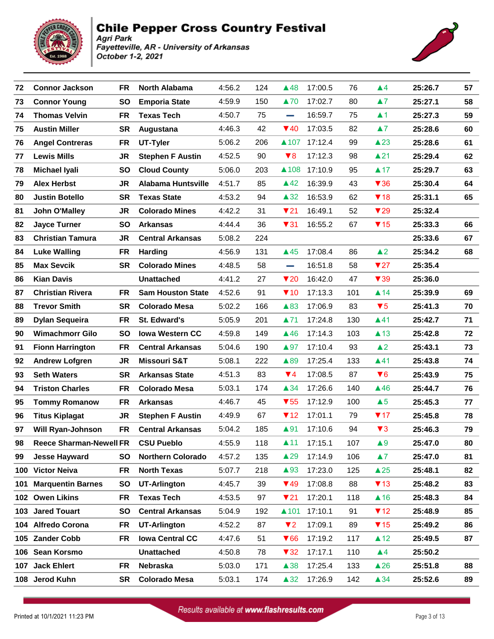



| 72  | <b>Connor Jackson</b>          | <b>FR</b> | <b>North Alabama</b>      | 4:56.2 | 124 | ▲48                     | 17:00.5 | 76  | $\blacktriangle 4$      | 25:26.7 | 57 |
|-----|--------------------------------|-----------|---------------------------|--------|-----|-------------------------|---------|-----|-------------------------|---------|----|
| 73  | <b>Connor Young</b>            | <b>SO</b> | <b>Emporia State</b>      | 4:59.9 | 150 | ▲70                     | 17:02.7 | 80  | $\blacktriangle 7$      | 25:27.1 | 58 |
| 74  | <b>Thomas Velvin</b>           | <b>FR</b> | <b>Texas Tech</b>         | 4:50.7 | 75  | <b>College</b>          | 16:59.7 | 75  | $\blacktriangle$ 1      | 25:27.3 | 59 |
| 75  | <b>Austin Miller</b>           | <b>SR</b> | Augustana                 | 4:46.3 | 42  | $\Psi$ 40               | 17:03.5 | 82  | $\blacktriangle 7$      | 25:28.6 | 60 |
| 76  | <b>Angel Contreras</b>         | <b>FR</b> | UT-Tyler                  | 5:06.2 | 206 | ▲107                    | 17:12.4 | 99  | $\triangle$ 23          | 25:28.6 | 61 |
| 77  | <b>Lewis Mills</b>             | JR        | <b>Stephen F Austin</b>   | 4:52.5 | 90  | $\blacktriangledown 8$  | 17:12.3 | 98  | $\triangle$ 21          | 25:29.4 | 62 |
| 78  | <b>Michael Iyali</b>           | <b>SO</b> | <b>Cloud County</b>       | 5:06.0 | 203 | ▲108                    | 17:10.9 | 95  | $\blacktriangle$ 17     | 25:29.7 | 63 |
| 79  | <b>Alex Herbst</b>             | JR        | <b>Alabama Huntsville</b> | 4:51.7 | 85  | $\triangle$ 42          | 16:39.9 | 43  | $\blacktriangledown$ 36 | 25:30.4 | 64 |
| 80  | <b>Justin Botello</b>          | <b>SR</b> | <b>Texas State</b>        | 4:53.2 | 94  | $\triangle 32$          | 16:53.9 | 62  | $\P$ 18                 | 25:31.1 | 65 |
| 81  | John O'Malley                  | <b>JR</b> | <b>Colorado Mines</b>     | 4:42.2 | 31  | $\P$ 21                 | 16:49.1 | 52  | $\blacktriangledown$ 29 | 25:32.4 |    |
| 82  | <b>Jayce Turner</b>            | <b>SO</b> | <b>Arkansas</b>           | 4:44.4 | 36  | $\blacktriangledown$ 31 | 16:55.2 | 67  | $\P$ 15                 | 25:33.3 | 66 |
| 83  | <b>Christian Tamura</b>        | <b>JR</b> | <b>Central Arkansas</b>   | 5:08.2 | 224 |                         |         |     |                         | 25:33.6 | 67 |
| 84  | <b>Luke Walling</b>            | FR        | <b>Harding</b>            | 4:56.9 | 131 | $\triangle$ 45          | 17:08.4 | 86  | $\triangle 2$           | 25:34.2 | 68 |
| 85  | <b>Max Sevcik</b>              | <b>SR</b> | <b>Colorado Mines</b>     | 4:48.5 | 58  | e a                     | 16:51.8 | 58  | $\blacktriangledown$ 27 | 25:35.4 |    |
| 86  | <b>Kian Davis</b>              |           | <b>Unattached</b>         | 4:41.2 | 27  | $\blacktriangledown$ 20 | 16:42.0 | 47  | $\blacktriangledown$ 39 | 25:36.0 |    |
| 87  | <b>Christian Rivera</b>        | <b>FR</b> | <b>Sam Houston State</b>  | 4:52.6 | 91  | $\P$ 10                 | 17:13.3 | 101 | $\blacktriangle$ 14     | 25:39.9 | 69 |
| 88  | <b>Trevor Smith</b>            | <b>SR</b> | <b>Colorado Mesa</b>      | 5:02.2 | 166 | $\triangle$ 83          | 17:06.9 | 83  | $\blacktriangledown 5$  | 25:41.3 | 70 |
| 89  | <b>Dylan Sequeira</b>          | FR        | St. Edward's              | 5:05.9 | 201 | ▲71                     | 17:24.8 | 130 | $\blacktriangle$ 41     | 25:42.7 | 71 |
| 90  | <b>Wimachmorr Gilo</b>         | <b>SO</b> | <b>Iowa Western CC</b>    | 4:59.8 | 149 | $\triangle$ 46          | 17:14.3 | 103 | $\triangle$ 13          | 25:42.8 | 72 |
| 91  | <b>Fionn Harrington</b>        | FR        | <b>Central Arkansas</b>   | 5:04.6 | 190 | $\blacktriangle$ 97     | 17:10.4 | 93  | $\triangle 2$           | 25:43.1 | 73 |
| 92  | <b>Andrew Lofgren</b>          | <b>JR</b> | <b>Missouri S&amp;T</b>   | 5:08.1 | 222 | ▲89                     | 17:25.4 | 133 | $\blacktriangle$ 41     | 25:43.8 | 74 |
| 93  | <b>Seth Waters</b>             | <b>SR</b> | <b>Arkansas State</b>     | 4:51.3 | 83  | $\P$ 4                  | 17:08.5 | 87  | $\blacktriangledown 6$  | 25:43.9 | 75 |
| 94  | <b>Triston Charles</b>         | FR        | <b>Colorado Mesa</b>      | 5:03.1 | 174 | $\triangle$ 34          | 17:26.6 | 140 | $\triangle$ 46          | 25:44.7 | 76 |
| 95  | <b>Tommy Romanow</b>           | <b>FR</b> | <b>Arkansas</b>           | 4:46.7 | 45  | $\blacktriangledown$ 55 | 17:12.9 | 100 | $\triangle 5$           | 25:45.3 | 77 |
| 96  | <b>Titus Kiplagat</b>          | JR        | <b>Stephen F Austin</b>   | 4:49.9 | 67  | $\P$ 12                 | 17:01.1 | 79  | $\P$ 17                 | 25:45.8 | 78 |
| 97  | Will Ryan-Johnson              | <b>FR</b> | <b>Central Arkansas</b>   | 5:04.2 | 185 | $\blacktriangle$ 91     | 17:10.6 | 94  | $\blacktriangledown$ 3  | 25:46.3 | 79 |
| 98  | <b>Reece Sharman-Newell FR</b> |           | <b>CSU Pueblo</b>         | 4:55.9 | 118 | $\blacktriangle$ 11     | 17:15.1 | 107 | $\triangle 9$           | 25:47.0 | 80 |
| 99  | Jesse Hayward                  | <b>SO</b> | <b>Northern Colorado</b>  | 4:57.2 | 135 | $\triangle 29$          | 17:14.9 | 106 | $\blacktriangle 7$      | 25:47.0 | 81 |
|     | 100 Victor Neiva               | FR        | <b>North Texas</b>        | 5:07.7 | 218 | $\triangle$ 93          | 17:23.0 | 125 | $\triangle 25$          | 25:48.1 | 82 |
| 101 | <b>Marquentin Barnes</b>       | <b>SO</b> | <b>UT-Arlington</b>       | 4:45.7 | 39  | $\P$ 49                 | 17:08.8 | 88  | $\P$ 13                 | 25:48.2 | 83 |
|     | 102 Owen Likins                | FR        | <b>Texas Tech</b>         | 4:53.5 | 97  | $\P$ 21                 | 17:20.1 | 118 | $\triangle$ 16          | 25:48.3 | 84 |
|     | 103 Jared Touart               | <b>SO</b> | <b>Central Arkansas</b>   | 5:04.9 | 192 | ▲101                    | 17:10.1 | 91  | $\P$ 12                 | 25:48.9 | 85 |
|     | 104 Alfredo Corona             | FR        | <b>UT-Arlington</b>       | 4:52.2 | 87  | $\blacktriangledown$ 2  | 17:09.1 | 89  | $\P$ 15                 | 25:49.2 | 86 |
|     | 105 Zander Cobb                | FR        | <b>Iowa Central CC</b>    | 4:47.6 | 51  | $\blacktriangledown 66$ | 17:19.2 | 117 | $\triangle$ 12          | 25:49.5 | 87 |
|     | 106 Sean Korsmo                |           | <b>Unattached</b>         | 4:50.8 | 78  | $\blacktriangledown$ 32 | 17:17.1 | 110 | $\blacktriangle 4$      | 25:50.2 |    |
|     | 107 Jack Ehlert                | FR        | Nebraska                  | 5:03.0 | 171 | $\triangle$ 38          | 17:25.4 | 133 | $\triangle 26$          | 25:51.8 | 88 |
|     | 108 Jerod Kuhn                 | SR        | <b>Colorado Mesa</b>      | 5:03.1 | 174 | $\triangle 32$          | 17:26.9 | 142 | ▲34                     | 25:52.6 | 89 |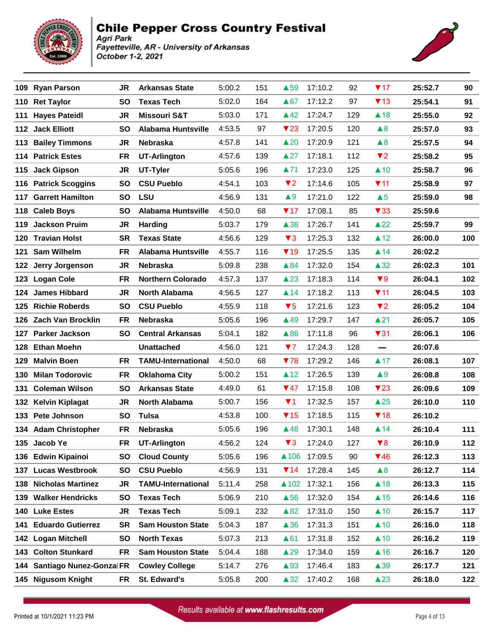



|     | 109 Ryan Parson              | <b>JR</b> | <b>Arkansas State</b>     | 5:00.2 | 151 | $\triangle$ 59          | 17:10.2 | 92  | $\P$ 17                 | 25:52.7 | 90  |
|-----|------------------------------|-----------|---------------------------|--------|-----|-------------------------|---------|-----|-------------------------|---------|-----|
|     | 110 Ret Taylor               | <b>SO</b> | <b>Texas Tech</b>         | 5:02.0 | 164 | $\triangle 67$          | 17:12.2 | 97  | $\P$ 13                 | 25:54.1 | 91  |
|     | 111 Hayes Pateidl            | <b>JR</b> | <b>Missouri S&amp;T</b>   | 5:03.0 | 171 | $\triangle$ 42          | 17:24.7 | 129 | $\triangle$ 18          | 25:55.0 | 92  |
|     | 112 Jack Elliott             | <b>SO</b> | <b>Alabama Huntsville</b> | 4:53.5 | 97  | $\blacktriangledown$ 23 | 17:20.5 | 120 | $\triangle 8$           | 25:57.0 | 93  |
| 113 | <b>Bailey Timmons</b>        | JR        | Nebraska                  | 4:57.8 | 141 | $\triangle 20$          | 17:20.9 | 121 | $\triangle 8$           | 25:57.5 | 94  |
|     | 114 Patrick Estes            | <b>FR</b> | <b>UT-Arlington</b>       | 4:57.6 | 139 | $\triangle 27$          | 17:18.1 | 112 | $\blacktriangledown$ 2  | 25:58.2 | 95  |
| 115 | <b>Jack Gipson</b>           | JR        | UT-Tyler                  | 5:05.6 | 196 | ▲71                     | 17:23.0 | 125 | $\triangle$ 10          | 25:58.7 | 96  |
|     | 116 Patrick Scoggins         | <b>SO</b> | <b>CSU Pueblo</b>         | 4:54.1 | 103 | $\P$                    | 17:14.6 | 105 | $\Psi$ 11               | 25:58.9 | 97  |
| 117 | <b>Garrett Hamilton</b>      | <b>SO</b> | <b>LSU</b>                | 4:56.9 | 131 | $\blacktriangle 9$      | 17:21.0 | 122 | $\triangle 5$           | 25:59.0 | 98  |
|     | 118 Caleb Boys               | <b>SO</b> | <b>Alabama Huntsville</b> | 4:50.0 | 68  | $\P$ 17                 | 17:08.1 | 85  | $\blacktriangledown$ 33 | 25:59.6 |     |
| 119 | <b>Jackson Pruim</b>         | JR        | Harding                   | 5:03.7 | 179 | $\triangle$ 38          | 17:26.7 | 141 | $\triangle 22$          | 25:59.7 | 99  |
|     | 120 Travian Holst            | <b>SR</b> | <b>Texas State</b>        | 4:56.6 | 129 | $\blacktriangledown$ 3  | 17:25.3 | 132 | $\triangle$ 12          | 26:00.0 | 100 |
|     | 121 Sam Wilhelm              | <b>FR</b> | <b>Alabama Huntsville</b> | 4:55.7 | 116 | $\P$ 19                 | 17:25.5 | 135 | $\blacktriangle$ 14     | 26:02.2 |     |
| 122 | Jerry Jorgenson              | JR        | Nebraska                  | 5:09.8 | 238 | ▲84                     | 17:32.0 | 154 | $\triangle 32$          | 26:02.3 | 101 |
|     | 123 Logan Cole               | <b>FR</b> | <b>Northern Colorado</b>  | 4:57.3 | 137 | $\triangle$ 23          | 17:18.3 | 114 | $\blacktriangledown 9$  | 26:04.1 | 102 |
| 124 | <b>James Hibbard</b>         | <b>JR</b> | <b>North Alabama</b>      | 4:56.5 | 127 | $\blacktriangle$ 14     | 17:18.2 | 113 | $\P$ 11                 | 26:04.5 | 103 |
|     | 125 Richie Roberds           | <b>SO</b> | <b>CSU Pueblo</b>         | 4:55.9 | 118 | $\blacktriangledown 5$  | 17:21.6 | 123 | $\blacktriangledown$ 2  | 26:05.2 | 104 |
|     | 126 Zach Van Brocklin        | FR        | Nebraska                  | 5:05.6 | 196 | $\triangle$ 49          | 17:29.7 | 147 | $\triangle$ 21          | 26:05.7 | 105 |
|     | 127 Parker Jackson           | <b>SO</b> | <b>Central Arkansas</b>   | 5:04.1 | 182 | $\triangle 86$          | 17:11.8 | 96  | $\blacktriangledown$ 31 | 26:06.1 | 106 |
|     | 128 Ethan Moehn              |           | <b>Unattached</b>         | 4:56.0 | 121 | 77                      | 17:24.3 | 128 | <b>College</b>          | 26:07.6 |     |
| 129 | <b>Malvin Boen</b>           | <b>FR</b> | <b>TAMU-International</b> | 4:50.0 | 68  | 778                     | 17:29.2 | 146 | $\triangle$ 17          | 26:08.1 | 107 |
| 130 | <b>Milan Todorovic</b>       | <b>FR</b> | <b>Oklahoma City</b>      | 5:00.2 | 151 | $\triangle$ 12          | 17:26.5 | 139 | $\triangle 9$           | 26:08.8 | 108 |
| 131 | <b>Coleman Wilson</b>        | <b>SO</b> | <b>Arkansas State</b>     | 4:49.0 | 61  | $\Psi$ 47               | 17:15.8 | 108 | $\blacktriangledown$ 23 | 26:09.6 | 109 |
|     | 132 Kelvin Kiplagat          | JR        | <b>North Alabama</b>      | 5:00.7 | 156 | $\Psi$ 1                | 17:32.5 | 157 | $\triangle 25$          | 26:10.0 | 110 |
|     | 133 Pete Johnson             | <b>SO</b> | <b>Tulsa</b>              | 4:53.8 | 100 | $\P$ 15                 | 17:18.5 | 115 | $\P$ 18                 | 26:10.2 |     |
|     | 134 Adam Christopher         | <b>FR</b> | Nebraska                  | 5:05.6 | 196 | $\triangle$ 48          | 17:30.1 | 148 | $\triangle$ 14          | 26:10.4 | 111 |
|     | 135 Jacob Ye                 | <b>FR</b> | <b>UT-Arlington</b>       | 4:56.2 | 124 | $\blacktriangledown$ 3  | 17:24.0 | 127 | $\blacktriangledown 8$  | 26:10.9 | 112 |
|     | 136 Edwin Kipainoi           | SO.       | <b>Cloud County</b>       | 5:05.6 | 196 | $\blacktriangle$ 106    | 17:09.5 | 90  | $\P$ 46                 | 26:12.3 | 113 |
|     | 137 Lucas Westbrook          | <b>SO</b> | <b>CSU Pueblo</b>         | 4:56.9 | 131 | $\P$ 14                 | 17:28.4 | 145 | $\triangle 8$           | 26:12.7 | 114 |
|     | 138 Nicholas Martinez        | JR        | <b>TAMU-International</b> | 5:11.4 | 258 | $\triangle$ 102         | 17:32.1 | 156 | $\triangle$ 18          | 26:13.3 | 115 |
|     | 139 Walker Hendricks         | <b>SO</b> | <b>Texas Tech</b>         | 5:06.9 | 210 | $\triangle$ 56          | 17:32.0 | 154 | $\triangle$ 15          | 26:14.6 | 116 |
|     | 140 Luke Estes               | JR        | <b>Texas Tech</b>         | 5:09.1 | 232 | $\triangle 82$          | 17:31.0 | 150 | $\triangle$ 10          | 26:15.7 | 117 |
| 141 | <b>Eduardo Gutierrez</b>     | <b>SR</b> | <b>Sam Houston State</b>  | 5:04.3 | 187 | $\triangle$ 36          | 17:31.3 | 151 | $\triangle$ 10          | 26:16.0 | 118 |
|     | 142 Logan Mitchell           | <b>SO</b> | <b>North Texas</b>        | 5:07.3 | 213 | $\triangle 61$          | 17:31.8 | 152 | $\triangle$ 10          | 26:16.2 | 119 |
|     | 143 Colton Stunkard          | FR        | <b>Sam Houston State</b>  | 5:04.4 | 188 | $\triangle 29$          | 17:34.0 | 159 | $\triangle$ 16          | 26:16.7 | 120 |
|     | 144 Santiago Nunez-Gonzal FR |           | <b>Cowley College</b>     | 5:14.7 | 276 | $\triangle$ 93          | 17:46.4 | 183 | $\triangle$ 39          | 26:17.7 | 121 |
|     | 145 Nigusom Knight           | FR        | St. Edward's              | 5:05.8 | 200 | $\triangle 32$          | 17:40.2 | 168 | $\triangle 23$          | 26:18.0 | 122 |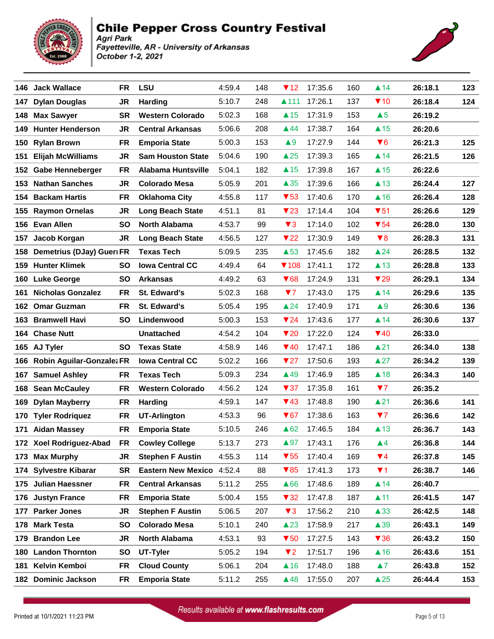

#### **Chile Pepper Cross Country Festival** Agri Park

Fayetteville, AR - University of Arkansas October 1-2, 2021



|      | 146 Jack Wallace              | FR        | <b>LSU</b>                | 4:59.4 | 148 | $\P$ 12                 | 17:35.6 | 160 | $\triangle$ 14          | 26:18.1 | 123 |
|------|-------------------------------|-----------|---------------------------|--------|-----|-------------------------|---------|-----|-------------------------|---------|-----|
| 147  | <b>Dylan Douglas</b>          | <b>JR</b> | <b>Harding</b>            | 5:10.7 | 248 | ▲111                    | 17:26.1 | 137 | $\P$ 10                 | 26:18.4 | 124 |
| 148  | <b>Max Sawyer</b>             | <b>SR</b> | <b>Western Colorado</b>   | 5:02.3 | 168 | $\triangle$ 15          | 17:31.9 | 153 | $\triangle 5$           | 26:19.2 |     |
| 149. | <b>Hunter Henderson</b>       | JR.       | <b>Central Arkansas</b>   | 5:06.6 | 208 | ▲44                     | 17:38.7 | 164 | $\triangle$ 15          | 26:20.6 |     |
| 150  | <b>Rylan Brown</b>            | FR        | <b>Emporia State</b>      | 5:00.3 | 153 | $\blacktriangle 9$      | 17:27.9 | 144 | $\blacktriangledown 6$  | 26:21.3 | 125 |
| 151  | <b>Elijah McWilliams</b>      | JR        | <b>Sam Houston State</b>  | 5:04.6 | 190 | $\triangle 25$          | 17:39.3 | 165 | $\blacktriangle$ 14     | 26:21.5 | 126 |
| 152  | <b>Gabe Henneberger</b>       | <b>FR</b> | <b>Alabama Huntsville</b> | 5:04.1 | 182 | $\triangle$ 15          | 17:39.8 | 167 | $\triangle$ 15          | 26:22.6 |     |
| 153  | <b>Nathan Sanches</b>         | JR.       | <b>Colorado Mesa</b>      | 5:05.9 | 201 | $\triangle 35$          | 17:39.6 | 166 | $\triangle$ 13          | 26:24.4 | 127 |
| 154  | <b>Backam Hartis</b>          | FR        | <b>Oklahoma City</b>      | 4:55.8 | 117 | $\blacktriangledown$ 53 | 17:40.6 | 170 | $\triangle$ 16          | 26:26.4 | 128 |
|      | 155 Raymon Ornelas            | JR        | <b>Long Beach State</b>   | 4:51.1 | 81  | $\blacktriangledown$ 23 | 17:14.4 | 104 | $\blacktriangledown 51$ | 26:26.6 | 129 |
| 156  | <b>Evan Allen</b>             | <b>SO</b> | <b>North Alabama</b>      | 4:53.7 | 99  | $\blacktriangledown$ 3  | 17:14.0 | 102 | $\blacktriangledown 54$ | 26:28.0 | 130 |
| 157  | Jacob Korgan                  | <b>JR</b> | <b>Long Beach State</b>   | 4:56.5 | 127 | $\blacktriangledown$ 22 | 17:30.9 | 149 | $\blacktriangledown 8$  | 26:28.3 | 131 |
|      | 158 Demetrius (DJay) Gueri FR |           | <b>Texas Tech</b>         | 5:09.5 | 235 | $\triangle$ 53          | 17:45.6 | 182 | $\triangle 24$          | 26:28.5 | 132 |
| 159  | <b>Hunter Klimek</b>          | <b>SO</b> | <b>Iowa Central CC</b>    | 4:49.4 | 64  | $\P$ 108                | 17:41.1 | 172 | $\triangle$ 13          | 26:28.8 | 133 |
|      | 160 Luke George               | <b>SO</b> | <b>Arkansas</b>           | 4:49.2 | 63  | $\blacktriangledown 68$ | 17:24.9 | 131 | $\blacktriangledown$ 29 | 26:29.1 | 134 |
| 161  | <b>Nicholas Gonzalez</b>      | <b>FR</b> | St. Edward's              | 5:02.3 | 168 | 77                      | 17:43.0 | 175 | $\blacktriangle$ 14     | 26:29.6 | 135 |
| 162  | <b>Omar Guzman</b>            | <b>FR</b> | St. Edward's              | 5:05.4 | 195 | $\triangle$ 24          | 17:40.9 | 171 | $\blacktriangle 9$      | 26:30.6 | 136 |
|      | 163 Bramwell Havi             | <b>SO</b> | Lindenwood                | 5:00.3 | 153 | $\P$ 24                 | 17:43.6 | 177 | $\blacktriangle$ 14     | 26:30.6 | 137 |
|      | 164 Chase Nutt                |           | <b>Unattached</b>         | 4:54.2 | 104 | $\blacktriangledown$ 20 | 17:22.0 | 124 | $\P$ 40                 | 26:33.0 |     |
|      | 165 AJ Tyler                  | <b>SO</b> | <b>Texas State</b>        | 4:58.9 | 146 | ▼40                     | 17:47.1 | 186 | $\triangle$ 21          | 26:34.0 | 138 |
| 166  | Robin Aguilar-Gonzalez FR     |           | <b>Iowa Central CC</b>    | 5:02.2 | 166 | $\blacktriangledown$ 27 | 17:50.6 | 193 | $\triangle 27$          | 26:34.2 | 139 |
| 167  | <b>Samuel Ashley</b>          | FR        | <b>Texas Tech</b>         | 5:09.3 | 234 | $\triangle$ 49          | 17:46.9 | 185 | $\triangle$ 18          | 26:34.3 | 140 |
|      | 168 Sean McCauley             | <b>FR</b> | <b>Western Colorado</b>   | 4:56.2 | 124 | $\blacktriangledown$ 37 | 17:35.8 | 161 | 77                      | 26:35.2 |     |
| 169  | <b>Dylan Mayberry</b>         | FR        | Harding                   | 4:59.1 | 147 | ▼43                     | 17:48.8 | 190 | $\triangle$ 21          | 26:36.6 | 141 |
|      | 170 Tyler Rodriquez           | FR        | <b>UT-Arlington</b>       | 4:53.3 | 96  | $\blacktriangledown 67$ | 17:38.6 | 163 | 77                      | 26:36.6 | 142 |
| 171  | <b>Aidan Massey</b>           | <b>FR</b> | <b>Emporia State</b>      | 5:10.5 | 246 | $\triangle 62$          | 17:46.5 | 184 | $\triangle$ 13          | 26:36.7 | 143 |
|      | 172 Xoel Rodriguez-Abad FR    |           | <b>Cowley College</b>     | 5:13.7 | 273 | $\triangle 97$          | 17:43.1 | 176 | $\blacktriangle 4$      | 26:36.8 | 144 |
| 173  | <b>Max Murphy</b>             | JR        | <b>Stephen F Austin</b>   | 4:55.3 | 114 | $\blacktriangledown$ 55 | 17:40.4 | 169 | $\Psi$ 4                | 26:37.8 | 145 |
|      | 174 Sylvestre Kibarar         | <b>SR</b> | <b>Eastern New Mexico</b> | 4:52.4 | 88  | $\blacktriangledown 85$ | 17:41.3 | 173 | $\P$ 1                  | 26:38.7 | 146 |
|      | 175 Julian Haessner           | FR        | <b>Central Arkansas</b>   | 5:11.2 | 255 | ▲66                     | 17:48.6 | 189 | $\blacktriangle$ 14     | 26:40.7 |     |
|      | 176 Justyn France             | <b>FR</b> | <b>Emporia State</b>      | 5:00.4 | 155 | $\blacktriangledown$ 32 | 17:47.8 | 187 | $\blacktriangle$ 11     | 26:41.5 | 147 |
| 177  | <b>Parker Jones</b>           | JR        | <b>Stephen F Austin</b>   | 5:06.5 | 207 | $\blacktriangledown$ 3  | 17:56.2 | 210 | $\triangle$ 33          | 26:42.5 | 148 |
| 178  | <b>Mark Testa</b>             | <b>SO</b> | <b>Colorado Mesa</b>      | 5:10.1 | 240 | $\triangle$ 23          | 17:58.9 | 217 | $\triangle$ 39          | 26:43.1 | 149 |
| 179  | <b>Brandon Lee</b>            | <b>JR</b> | North Alabama             | 4:53.1 | 93  | $\blacktriangledown$ 50 | 17:27.5 | 143 | $\blacktriangledown 36$ | 26:43.2 | 150 |
| 180  | <b>Landon Thornton</b>        | <b>SO</b> | UT-Tyler                  | 5:05.2 | 194 | $\P$ 2                  | 17:51.7 | 196 | $\triangle$ 16          | 26:43.6 | 151 |
| 181  | Kelvin Kemboi                 | FR        | <b>Cloud County</b>       | 5:06.1 | 204 | $\triangle$ 16          | 17:48.0 | 188 | $\blacktriangle 7$      | 26:43.8 | 152 |
| 182  | <b>Dominic Jackson</b>        | FR        | <b>Emporia State</b>      | 5:11.2 | 255 | $\triangle$ 48          | 17:55.0 | 207 | $\triangle 25$          | 26:44.4 | 153 |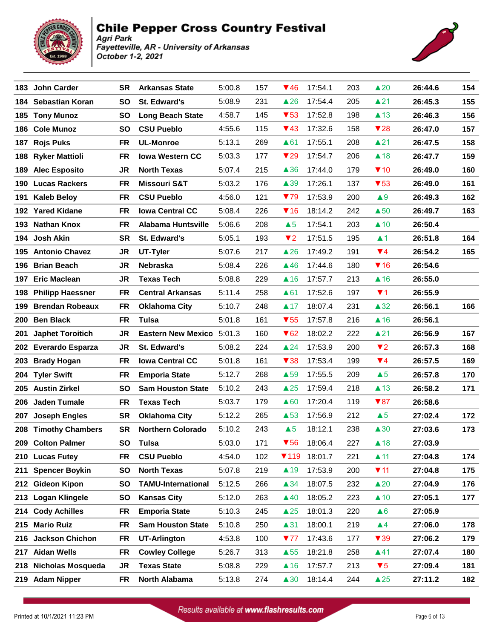



|     | 183 John Carder         | <b>SR</b> | <b>Arkansas State</b>     | 5:00.8 | 157 | $\Psi$ 46               | 17:54.1 | 203 | $\triangle 20$          | 26:44.6 | 154 |
|-----|-------------------------|-----------|---------------------------|--------|-----|-------------------------|---------|-----|-------------------------|---------|-----|
|     | 184 Sebastian Koran     | SO        | St. Edward's              | 5:08.9 | 231 | $\triangle$ 26          | 17:54.4 | 205 | $\triangle$ 21          | 26:45.3 | 155 |
|     | 185 Tony Munoz          | <b>SO</b> | <b>Long Beach State</b>   | 4:58.7 | 145 | $\blacktriangledown$ 53 | 17:52.8 | 198 | $\triangle$ 13          | 26:46.3 | 156 |
|     | 186 Cole Munoz          | <b>SO</b> | <b>CSU Pueblo</b>         | 4:55.6 | 115 | $\P$ 43                 | 17:32.6 | 158 | $\blacktriangledown$ 28 | 26:47.0 | 157 |
|     | 187 Rojs Puks           | <b>FR</b> | <b>UL-Monroe</b>          | 5:13.1 | 269 | $\triangle 61$          | 17:55.1 | 208 | $\triangle$ 21          | 26:47.5 | 158 |
|     | 188 Ryker Mattioli      | <b>FR</b> | <b>Iowa Western CC</b>    | 5:03.3 | 177 | $\blacktriangledown$ 29 | 17:54.7 | 206 | $\triangle$ 18          | 26:47.7 | 159 |
| 189 | <b>Alec Esposito</b>    | JR        | <b>North Texas</b>        | 5:07.4 | 215 | $\triangle$ 36          | 17:44.0 | 179 | $\P$ 10                 | 26:49.0 | 160 |
|     | 190 Lucas Rackers       | <b>FR</b> | <b>Missouri S&amp;T</b>   | 5:03.2 | 176 | $\triangle$ 39          | 17:26.1 | 137 | $\blacktriangledown$ 53 | 26:49.0 | 161 |
| 191 | <b>Kaleb Beloy</b>      | <b>FR</b> | <b>CSU Pueblo</b>         | 4:56.0 | 121 | 779                     | 17:53.9 | 200 | $\blacktriangle 9$      | 26:49.3 | 162 |
|     | 192 Yared Kidane        | <b>FR</b> | <b>Iowa Central CC</b>    | 5:08.4 | 226 | $\P$ 16                 | 18:14.2 | 242 | $\triangle$ 50          | 26:49.7 | 163 |
|     | 193 Nathan Knox         | <b>FR</b> | <b>Alabama Huntsville</b> | 5:06.6 | 208 | $\triangle 5$           | 17:54.1 | 203 | $\triangle$ 10          | 26:50.4 |     |
| 194 | <b>Josh Akin</b>        | <b>SR</b> | <b>St. Edward's</b>       | 5:05.1 | 193 | $\P$ 2                  | 17:51.5 | 195 | $\blacktriangle$ 1      | 26:51.8 | 164 |
|     | 195 Antonio Chavez      | JR        | UT-Tyler                  | 5:07.6 | 217 | $\triangle$ 26          | 17:49.2 | 191 | $\Psi$ 4                | 26:54.2 | 165 |
|     | 196 Brian Beach         | JR        | <b>Nebraska</b>           | 5:08.4 | 226 | $\triangle$ 46          | 17:44.6 | 180 | $\P$ 16                 | 26:54.6 |     |
|     | 197 Eric Maclean        | JR.       | <b>Texas Tech</b>         | 5:08.8 | 229 | $\blacktriangle$ 16     | 17:57.7 | 213 | $\triangle$ 16          | 26:55.0 |     |
| 198 | <b>Philipp Haessner</b> | <b>FR</b> | <b>Central Arkansas</b>   | 5:11.4 | 258 | $\triangle 61$          | 17:52.6 | 197 | $\P$ 1                  | 26:55.9 |     |
| 199 | <b>Brendan Robeaux</b>  | <b>FR</b> | <b>Oklahoma City</b>      | 5:10.7 | 248 | $\blacktriangle$ 17     | 18:07.4 | 231 | $\triangle 32$          | 26:56.1 | 166 |
|     | 200 Ben Black           | FR        | Tulsa                     | 5:01.8 | 161 | $\blacktriangledown$ 55 | 17:57.8 | 216 | $\triangle$ 16          | 26:56.1 |     |
| 201 | <b>Japhet Toroitich</b> | JR.       | Eastern New Mexico 5:01.3 |        | 160 | $\blacktriangledown$ 62 | 18:02.2 | 222 | $\triangle$ 21          | 26:56.9 | 167 |
|     | 202 Everardo Esparza    | JR        | St. Edward's              | 5:08.2 | 224 | $\triangle$ 24          | 17:53.9 | 200 | $\blacktriangledown$ 2  | 26:57.3 | 168 |
|     | 203 Brady Hogan         | <b>FR</b> | <b>Iowa Central CC</b>    | 5:01.8 | 161 | $\blacktriangledown$ 38 | 17:53.4 | 199 | $\Psi$ 4                | 26:57.5 | 169 |
|     | 204 Tyler Swift         | <b>FR</b> | <b>Emporia State</b>      | 5:12.7 | 268 | $\triangle$ 59          | 17:55.5 | 209 | $\triangle 5$           | 26:57.8 | 170 |
|     | 205 Austin Zirkel       | <b>SO</b> | <b>Sam Houston State</b>  | 5:10.2 | 243 | $\triangle 25$          | 17:59.4 | 218 | $\triangle$ 13          | 26:58.2 | 171 |
|     | 206 Jaden Tumale        | <b>FR</b> | <b>Texas Tech</b>         | 5:03.7 | 179 | $\triangle 60$          | 17:20.4 | 119 | $\blacktriangledown 87$ | 26:58.6 |     |
| 207 | <b>Joseph Engles</b>    | <b>SR</b> | <b>Oklahoma City</b>      | 5:12.2 | 265 | $\triangle$ 53          | 17:56.9 | 212 | $\triangle 5$           | 27:02.4 | 172 |
| 208 | <b>Timothy Chambers</b> | <b>SR</b> | <b>Northern Colorado</b>  | 5:10.2 | 243 | $\triangle 5$           | 18:12.1 | 238 | $\triangle 30$          | 27:03.6 | 173 |
|     | 209 Colton Palmer       | SO        | <b>Tulsa</b>              | 5:03.0 | 171 | $\blacktriangledown$ 56 | 18:06.4 | 227 | $\triangle$ 18          | 27:03.9 |     |
|     | 210 Lucas Futey         | FR        | <b>CSU Pueblo</b>         | 4:54.0 | 102 | $\P$ 119                | 18:01.7 | 221 | $\blacktriangle$ 11     | 27:04.8 | 174 |
| 211 | <b>Spencer Boykin</b>   | <b>SO</b> | <b>North Texas</b>        | 5:07.8 | 219 | $\blacktriangle$ 19     | 17:53.9 | 200 | $\P$ 11                 | 27:04.8 | 175 |
|     | 212 Gideon Kipon        | <b>SO</b> | <b>TAMU-International</b> | 5:12.5 | 266 | $\triangle 34$          | 18:07.5 | 232 | $\triangle 20$          | 27:04.9 | 176 |
|     | 213 Logan Klingele      | <b>SO</b> | <b>Kansas City</b>        | 5:12.0 | 263 | $\triangle$ 40          | 18:05.2 | 223 | $\triangle$ 10          | 27:05.1 | 177 |
|     | 214 Cody Achilles       | <b>FR</b> | <b>Emporia State</b>      | 5:10.3 | 245 | $\triangle 25$          | 18:01.3 | 220 | $\triangle 6$           | 27:05.9 |     |
| 215 | <b>Mario Ruiz</b>       | <b>FR</b> | <b>Sam Houston State</b>  | 5:10.8 | 250 | $\blacktriangle$ 31     | 18:00.1 | 219 | $\blacktriangle 4$      | 27:06.0 | 178 |
| 216 | <b>Jackson Chichon</b>  | <b>FR</b> | <b>UT-Arlington</b>       | 4:53.8 | 100 | 777                     | 17:43.6 | 177 | $\blacktriangledown$ 39 | 27:06.2 | 179 |
|     | 217 Aidan Wells         | <b>FR</b> | <b>Cowley College</b>     | 5:26.7 | 313 | $\triangle$ 55          | 18:21.8 | 258 | $\blacktriangle$ 41     | 27:07.4 | 180 |
|     | 218 Nicholas Mosqueda   | JR        | <b>Texas State</b>        | 5:08.8 | 229 | $\triangle$ 16          | 17:57.7 | 213 | $\blacktriangledown 5$  | 27:09.4 | 181 |
|     | 219 Adam Nipper         | FR        | North Alabama             | 5:13.8 | 274 | $\triangle 30$          | 18:14.4 | 244 | $\triangle 25$          | 27:11.2 | 182 |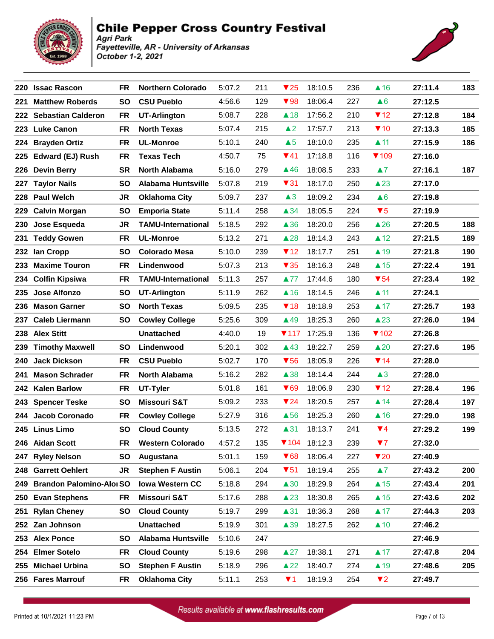



| 220 | <b>Issac Rascon</b>             | <b>FR</b> | <b>Northern Colorado</b>  | 5:07.2 | 211 | $\blacktriangledown$ 25 | 18:10.5 | 236 | $\triangle$ 16           | 27:11.4 | 183 |
|-----|---------------------------------|-----------|---------------------------|--------|-----|-------------------------|---------|-----|--------------------------|---------|-----|
| 221 | <b>Matthew Roberds</b>          | <b>SO</b> | <b>CSU Pueblo</b>         | 4:56.6 | 129 | $\blacktriangledown$ 98 | 18:06.4 | 227 | $\triangle 6$            | 27:12.5 |     |
|     | 222 Sebastian Calderon          | FR        | <b>UT-Arlington</b>       | 5:08.7 | 228 | $\triangle$ 18          | 17:56.2 | 210 | $\P$ 12                  | 27:12.8 | 184 |
| 223 | <b>Luke Canon</b>               | <b>FR</b> | <b>North Texas</b>        | 5:07.4 | 215 | $\triangle$ 2           | 17:57.7 | 213 | $\P$ 10                  | 27:13.3 | 185 |
| 224 | <b>Brayden Ortiz</b>            | <b>FR</b> | <b>UL-Monroe</b>          | 5:10.1 | 240 | $\triangle 5$           | 18:10.0 | 235 | $\blacktriangle$ 11      | 27:15.9 | 186 |
|     | 225 Edward (EJ) Rush            | FR        | <b>Texas Tech</b>         | 4:50.7 | 75  | $\P(41)$                | 17:18.8 | 116 | $\P$ 109                 | 27:16.0 |     |
| 226 | <b>Devin Berry</b>              | <b>SR</b> | <b>North Alabama</b>      | 5:16.0 | 279 | $\triangle$ 46          | 18:08.5 | 233 | $\blacktriangle 7$       | 27:16.1 | 187 |
|     | 227 Taylor Nails                | <b>SO</b> | <b>Alabama Huntsville</b> | 5:07.8 | 219 | $\blacktriangledown$ 31 | 18:17.0 | 250 | $\triangle$ 23           | 27:17.0 |     |
| 228 | <b>Paul Welch</b>               | JR        | <b>Oklahoma City</b>      | 5:09.7 | 237 | $\triangle 3$           | 18:09.2 | 234 | $\triangle 6$            | 27:19.8 |     |
| 229 | <b>Calvin Morgan</b>            | <b>SO</b> | <b>Emporia State</b>      | 5:11.4 | 258 | $\triangle 34$          | 18:05.5 | 224 | $\blacktriangledown 5$   | 27:19.9 |     |
| 230 | Jose Esqueda                    | JR.       | <b>TAMU-International</b> | 5:18.5 | 292 | $\triangle$ 36          | 18:20.0 | 256 | $\triangle 26$           | 27:20.5 | 188 |
|     | 231 Teddy Gowen                 | <b>FR</b> | <b>UL-Monroe</b>          | 5:13.2 | 271 | $\triangle$ 28          | 18:14.3 | 243 | $\triangle$ 12           | 27:21.5 | 189 |
| 232 | lan Cropp                       | <b>SO</b> | <b>Colorado Mesa</b>      | 5:10.0 | 239 | $\P$ 12                 | 18:17.7 | 251 | $\triangle$ 19           | 27:21.8 | 190 |
| 233 | <b>Maxime Touron</b>            | <b>FR</b> | Lindenwood                | 5:07.3 | 213 | $\blacktriangledown$ 35 | 18:16.3 | 248 | $\triangle$ 15           | 27:22.4 | 191 |
| 234 | <b>Colfin Kipsiwa</b>           | <b>FR</b> | <b>TAMU-International</b> | 5:11.3 | 257 | ▲77                     | 17:44.6 | 180 | $\blacktriangledown$ 54  | 27:23.4 | 192 |
| 235 | <b>Jose Alfonzo</b>             | <b>SO</b> | <b>UT-Arlington</b>       | 5:11.9 | 262 | $\triangle$ 16          | 18:14.5 | 246 | $\blacktriangle$ 11      | 27:24.1 |     |
| 236 | <b>Mason Garner</b>             | <b>SO</b> | <b>North Texas</b>        | 5:09.5 | 235 | $\P$ 18                 | 18:18.9 | 253 | $\blacktriangle$ 17      | 27:25.7 | 193 |
|     | 237 Caleb Liermann              | <b>SO</b> | <b>Cowley College</b>     | 5:25.6 | 309 | $\triangle$ 49          | 18:25.3 | 260 | $\triangle$ 23           | 27:26.0 | 194 |
| 238 | <b>Alex Stitt</b>               |           | <b>Unattached</b>         | 4:40.0 | 19  | $\P$ 117                | 17:25.9 | 136 | $\blacktriangledown$ 102 | 27:26.8 |     |
|     | 239 Timothy Maxwell             | <b>SO</b> | Lindenwood                | 5:20.1 | 302 | $\triangle$ 43          | 18:22.7 | 259 | $\triangle 20$           | 27:27.6 | 195 |
| 240 | <b>Jack Dickson</b>             | <b>FR</b> | <b>CSU Pueblo</b>         | 5:02.7 | 170 | $\blacktriangledown$ 56 | 18:05.9 | 226 | $\P$ 14                  | 27:28.0 |     |
| 241 | <b>Mason Schrader</b>           | FR        | North Alabama             | 5:16.2 | 282 | $\triangle$ 38          | 18:14.4 | 244 | $\triangle 3$            | 27:28.0 |     |
|     | 242 Kalen Barlow                | FR        | UT-Tyler                  | 5:01.8 | 161 | $\blacktriangledown 69$ | 18:06.9 | 230 | $\P$ 12                  | 27:28.4 | 196 |
| 243 | <b>Spencer Teske</b>            | <b>SO</b> | <b>Missouri S&amp;T</b>   | 5:09.2 | 233 | $\P$ 24                 | 18:20.5 | 257 | $\triangle$ 14           | 27:28.4 | 197 |
|     | 244 Jacob Coronado              | <b>FR</b> | <b>Cowley College</b>     | 5:27.9 | 316 | $\triangle$ 56          | 18:25.3 | 260 | $\triangle$ 16           | 27:29.0 | 198 |
|     | 245 Linus Limo                  | <b>SO</b> | <b>Cloud County</b>       | 5:13.5 | 272 | $\blacktriangle$ 31     | 18:13.7 | 241 | $\Psi$ 4                 | 27:29.2 | 199 |
|     | FR<br>246 Aidan Scott           |           | <b>Western Colorado</b>   | 4:57.2 | 135 | $\P$ 104                | 18:12.3 | 239 | 77                       | 27:32.0 |     |
|     | 247 Ryley Nelson                | <b>SO</b> | Augustana                 | 5:01.1 | 159 | $\blacktriangledown 68$ | 18:06.4 | 227 | $\blacktriangledown$ 20  | 27:40.9 |     |
|     | 248 Garrett Oehlert             | JR        | <b>Stephen F Austin</b>   | 5:06.1 | 204 | $\blacktriangledown 51$ | 18:19.4 | 255 | $\blacktriangle 7$       | 27:43.2 | 200 |
| 249 | <b>Brandon Palomino-Aloi SO</b> |           | <b>Iowa Western CC</b>    | 5:18.8 | 294 | $\triangle 30$          | 18:29.9 | 264 | $\triangle$ 15           | 27:43.4 | 201 |
| 250 | <b>Evan Stephens</b>            | FR        | <b>Missouri S&amp;T</b>   | 5:17.6 | 288 | $\triangle$ 23          | 18:30.8 | 265 | $\triangle$ 15           | 27:43.6 | 202 |
| 251 | <b>Rylan Cheney</b>             | SO        | <b>Cloud County</b>       | 5:19.7 | 299 | $\blacktriangle$ 31     | 18:36.3 | 268 | $\triangle$ 17           | 27:44.3 | 203 |
| 252 | Zan Johnson                     |           | <b>Unattached</b>         | 5:19.9 | 301 | $\triangle$ 39          | 18:27.5 | 262 | $\triangle$ 10           | 27:46.2 |     |
|     | 253 Alex Ponce                  | <b>SO</b> | <b>Alabama Huntsville</b> | 5:10.6 | 247 |                         |         |     |                          | 27:46.9 |     |
| 254 | <b>Elmer Sotelo</b>             | FR        | <b>Cloud County</b>       | 5:19.6 | 298 | $\triangle 27$          | 18:38.1 | 271 | $\triangle$ 17           | 27:47.8 | 204 |
| 255 | <b>Michael Urbina</b>           | <b>SO</b> | <b>Stephen F Austin</b>   | 5:18.9 | 296 | $\triangle$ 22          | 18:40.7 | 274 | $\blacktriangle$ 19      | 27:48.6 | 205 |
|     | 256 Fares Marrouf               | FR        | <b>Oklahoma City</b>      | 5:11.1 | 253 | $\P$ 1                  | 18:19.3 | 254 | $\blacktriangledown$ 2   | 27:49.7 |     |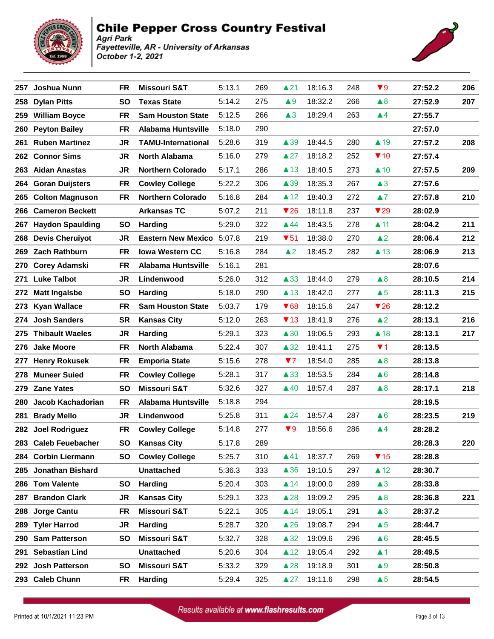



| 257  | Joshua Nunn             | FR.       | <b>Missouri S&amp;T</b>   | 5:13.1 | 269 | $\blacktriangle$ 21     | 18:16.3 | 248 | $\blacktriangledown 9$  | 27:52.2 | 206 |
|------|-------------------------|-----------|---------------------------|--------|-----|-------------------------|---------|-----|-------------------------|---------|-----|
| 258  | <b>Dylan Pitts</b>      | <b>SO</b> | <b>Texas State</b>        | 5:14.2 | 275 | $\blacktriangle 9$      | 18:32.2 | 266 | $\triangle 8$           | 27:52.9 | 207 |
|      | 259 William Boyce       | <b>FR</b> | <b>Sam Houston State</b>  | 5:12.5 | 266 | $\triangle 3$           | 18:29.4 | 263 | $\blacktriangle 4$      | 27:55.7 |     |
|      | 260 Peyton Bailey       | <b>FR</b> | <b>Alabama Huntsville</b> | 5:18.0 | 290 |                         |         |     |                         | 27:57.0 |     |
| 261  | <b>Ruben Martinez</b>   | JR        | <b>TAMU-International</b> | 5:28.6 | 319 | $\triangle$ 39          | 18:44.5 | 280 | $\blacktriangle$ 19     | 27:57.2 | 208 |
|      | 262 Connor Sims         | JR        | <b>North Alabama</b>      | 5:16.0 | 279 | $\triangle 27$          | 18:18.2 | 252 | $\P$ 10                 | 27:57.4 |     |
|      | 263 Aidan Anastas       | JR        | <b>Northern Colorado</b>  | 5:17.1 | 286 | $\blacktriangle$ 13     | 18:40.5 | 273 | $\triangle$ 10          | 27:57.5 | 209 |
|      | 264 Goran Duijsters     | <b>FR</b> | <b>Cowley College</b>     | 5:22.2 | 306 | $\triangle$ 39          | 18:35.3 | 267 | $\triangle 3$           | 27:57.6 |     |
| 265  | <b>Colton Magnuson</b>  | FR        | <b>Northern Colorado</b>  | 5:16.8 | 284 | $\triangle$ 12          | 18:40.3 | 272 | $\blacktriangle 7$      | 27:57.8 | 210 |
| 266  | <b>Cameron Beckett</b>  |           | <b>Arkansas TC</b>        | 5:07.2 | 211 | $\blacktriangledown$ 26 | 18:11.8 | 237 | $\blacktriangledown$ 29 | 28:02.9 |     |
| 267  | <b>Haydon Spaulding</b> | <b>SO</b> | <b>Harding</b>            | 5:29.0 | 322 | ▲44                     | 18:43.5 | 278 | $\blacktriangle$ 11     | 28:04.2 | 211 |
|      | 268 Devis Cheruiyot     | JR        | Eastern New Mexico 5:07.8 |        | 219 | $\blacktriangledown$ 51 | 18:38.0 | 270 | $\triangle$ 2           | 28:06.4 | 212 |
|      | 269 Zach Rathburn       | <b>FR</b> | <b>Iowa Western CC</b>    | 5:16.8 | 284 | $\triangle$ 2           | 18:45.2 | 282 | $\triangle$ 13          | 28:06.9 | 213 |
| 270  | <b>Corey Adamski</b>    | <b>FR</b> | <b>Alabama Huntsville</b> | 5:16.1 | 281 |                         |         |     |                         | 28:07.6 |     |
| 271  | <b>Luke Talbot</b>      | JR        | Lindenwood                | 5:26.0 | 312 | $\triangle$ 33          | 18:44.0 | 279 | $\triangle 8$           | 28:10.5 | 214 |
| 272  | <b>Matt Ingalsbe</b>    | SO        | <b>Harding</b>            | 5:18.0 | 290 | $\blacktriangle$ 13     | 18:42.0 | 277 | $\triangle 5$           | 28:11.3 | 215 |
| 273  | <b>Kyan Wallace</b>     | <b>FR</b> | <b>Sam Houston State</b>  | 5:03.7 | 179 | $\blacktriangledown 68$ | 18:15.6 | 247 | $\blacktriangledown$ 26 | 28:12.2 |     |
| 274  | <b>Josh Sanders</b>     | SR        | <b>Kansas City</b>        | 5:12.0 | 263 | $\P$ 13                 | 18:41.9 | 276 | $\triangle$ 2           | 28:13.1 | 216 |
| 275  | <b>Thibault Waeles</b>  | JR        | <b>Harding</b>            | 5:29.1 | 323 | $\triangle 30$          | 19:06.5 | 293 | $\triangle$ 18          | 28:13.1 | 217 |
| 276  | <b>Jake Moore</b>       | <b>FR</b> | <b>North Alabama</b>      | 5:22.4 | 307 | $\triangle 32$          | 18:41.1 | 275 | $\P$ 1                  | 28:13.5 |     |
| 277  | <b>Henry Rokusek</b>    | <b>FR</b> | <b>Emporia State</b>      | 5:15.6 | 278 | 77                      | 18:54.0 | 285 | $\triangle 8$           | 28:13.8 |     |
| 278  | <b>Muneer Suied</b>     | <b>FR</b> | <b>Cowley College</b>     | 5:28.1 | 317 | $\triangle$ 33          | 18:53.5 | 284 | $\triangle 6$           | 28:14.8 |     |
|      | 279 Zane Yates          | <b>SO</b> | <b>Missouri S&amp;T</b>   | 5:32.6 | 327 | $\triangle$ 40          | 18:57.4 | 287 | $\triangle 8$           | 28:17.1 | 218 |
| 280. | Jacob Kachadorian       | <b>FR</b> | <b>Alabama Huntsville</b> | 5:18.8 | 294 |                         |         |     |                         | 28:19.5 |     |
| 281  | <b>Brady Mello</b>      | JR        | Lindenwood                | 5:25.8 | 311 | $\triangle 24$          | 18:57.4 | 287 | $\triangle 6$           | 28:23.5 | 219 |
| 282  | <b>Joel Rodriguez</b>   | <b>FR</b> | <b>Cowley College</b>     | 5:14.8 | 277 | $\blacktriangledown 9$  | 18:56.6 | 286 | $\blacktriangle 4$      | 28:28.2 |     |
|      | 283 Caleb Feuebacher    | <b>SO</b> | <b>Kansas City</b>        | 5:17.8 | 289 |                         |         |     |                         | 28:28.3 | 220 |
|      | 284 Corbin Liermann     | SO.       | <b>Cowley College</b>     | 5:25.7 | 310 | ▲41                     | 18:37.7 | 269 | $\blacktriangledown$ 15 | 28:28.8 |     |
|      | 285 Jonathan Bishard    |           | <b>Unattached</b>         | 5:36.3 | 333 | $\triangle$ 36          | 19:10.5 | 297 | $\triangle$ 12          | 28:30.7 |     |
|      | 286 Tom Valente         | SΟ        | Harding                   | 5:20.4 | 303 | $\blacktriangle$ 14     | 19:00.0 | 289 | $\triangle 3$           | 28:33.8 |     |
|      | 287 Brandon Clark       | JR        | <b>Kansas City</b>        | 5:29.1 | 323 | $\triangle$ 28          | 19:09.2 | 295 | $\triangle 8$           | 28:36.8 | 221 |
| 288  | Jorge Cantu             | FR        | <b>Missouri S&amp;T</b>   | 5:22.1 | 305 | $\blacktriangle$ 14     | 19:05.1 | 291 | $\triangle 3$           | 28:37.2 |     |
| 289  | <b>Tyler Harrod</b>     | JR        | <b>Harding</b>            | 5:28.7 | 320 | $\triangle$ 26          | 19:08.7 | 294 | $\triangle 5$           | 28:44.7 |     |
|      | 290 Sam Patterson       | SΟ        | <b>Missouri S&amp;T</b>   | 5:32.7 | 328 | $\triangle 32$          | 19:09.6 | 296 | $\triangle 6$           | 28:45.5 |     |
| 291  | <b>Sebastian Lind</b>   |           | <b>Unattached</b>         | 5:20.6 | 304 | $\triangle$ 12          | 19:05.4 | 292 | $\blacktriangle$ 1      | 28:49.5 |     |
|      | 292 Josh Patterson      | SΟ        | <b>Missouri S&amp;T</b>   | 5:33.2 | 329 | $\triangle$ 28          | 19:18.9 | 301 | $\triangle 9$           | 28:50.8 |     |
|      | 293 Caleb Chunn         | FR        | <b>Harding</b>            | 5:29.4 | 325 | $\triangle 27$          | 19:11.6 | 298 | $\triangle 5$           | 28:54.5 |     |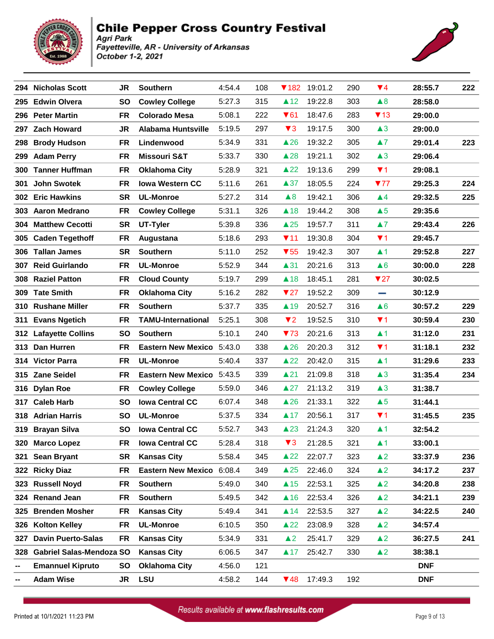



|     | 294 Nicholas Scott           | <b>JR</b> | <b>Southern</b>           | 4:54.4 | 108 |                         | <b>▼182 19:01.2</b> | 290 | $\P(4)$                 | 28:55.7    | 222 |
|-----|------------------------------|-----------|---------------------------|--------|-----|-------------------------|---------------------|-----|-------------------------|------------|-----|
| 295 | <b>Edwin Olvera</b>          | <b>SO</b> | <b>Cowley College</b>     | 5:27.3 | 315 | $\triangle$ 12          | 19:22.8             | 303 | $\triangle 8$           | 28:58.0    |     |
|     | 296 Peter Martin             | FR        | <b>Colorado Mesa</b>      | 5:08.1 | 222 | $\blacktriangledown$ 61 | 18:47.6             | 283 | $\P$ 13                 | 29:00.0    |     |
|     | 297 Zach Howard              | JR.       | <b>Alabama Huntsville</b> | 5:19.5 | 297 | $\blacktriangledown$ 3  | 19:17.5             | 300 | $\triangle 3$           | 29:00.0    |     |
| 298 | <b>Brody Hudson</b>          | <b>FR</b> | Lindenwood                | 5:34.9 | 331 | $\triangle$ 26          | 19:32.2             | 305 | $\blacktriangle$ 7      | 29:01.4    | 223 |
| 299 | <b>Adam Perry</b>            | FR        | Missouri S&T              | 5:33.7 | 330 | $\triangle 28$          | 19:21.1             | 302 | $\triangle 3$           | 29:06.4    |     |
| 300 | <b>Tanner Huffman</b>        | <b>FR</b> | <b>Oklahoma City</b>      | 5:28.9 | 321 | $\triangle$ 22          | 19:13.6             | 299 | $\P$ 1                  | 29:08.1    |     |
| 301 | <b>John Swotek</b>           | <b>FR</b> | <b>Iowa Western CC</b>    | 5:11.6 | 261 | $\triangle 37$          | 18:05.5             | 224 | 777                     | 29:25.3    | 224 |
| 302 | <b>Eric Hawkins</b>          | <b>SR</b> | <b>UL-Monroe</b>          | 5:27.2 | 314 | $\triangle 8$           | 19:42.1             | 306 | $\blacktriangle 4$      | 29:32.5    | 225 |
|     | 303 Aaron Medrano            | FR        | <b>Cowley College</b>     | 5:31.1 | 326 | $\triangle$ 18          | 19:44.2             | 308 | $\triangle 5$           | 29:35.6    |     |
| 304 | <b>Matthew Cecotti</b>       | <b>SR</b> | UT-Tyler                  | 5:39.8 | 336 | $\triangle 25$          | 19:57.7             | 311 | $\blacktriangle$ 7      | 29:43.4    | 226 |
| 305 | <b>Caden Tegethoff</b>       | <b>FR</b> | Augustana                 | 5:18.6 | 293 | 711                     | 19:30.8             | 304 | $\P$ 1                  | 29:45.7    |     |
|     | 306 Tallan James             | <b>SR</b> | <b>Southern</b>           | 5:11.0 | 252 | $\blacktriangledown$ 55 | 19:42.3             | 307 | $\blacktriangle$ 1      | 29:52.8    | 227 |
| 307 | <b>Reid Guirlando</b>        | FR        | <b>UL-Monroe</b>          | 5:52.9 | 344 | $\blacktriangle$ 31     | 20:21.6             | 313 | $\triangle 6$           | 30:00.0    | 228 |
|     | 308 Raziel Patton            | <b>FR</b> | <b>Cloud County</b>       | 5:19.7 | 299 | $\triangle$ 18          | 18:45.1             | 281 | $\blacktriangledown$ 27 | 30:02.5    |     |
|     | 309 Tate Smith               | <b>FR</b> | <b>Oklahoma City</b>      | 5:16.2 | 282 | $\blacktriangledown$ 27 | 19:52.2             | 309 | and a                   | 30:12.9    |     |
| 310 | <b>Rushane Miller</b>        | <b>FR</b> | <b>Southern</b>           | 5:37.7 | 335 | $\blacktriangle$ 19     | 20:52.7             | 316 | $\triangle 6$           | 30:57.2    | 229 |
|     | 311 Evans Ngetich            | <b>FR</b> | <b>TAMU-International</b> | 5:25.1 | 308 | $\blacktriangledown$ 2  | 19:52.5             | 310 | $\P$ 1                  | 30:59.4    | 230 |
|     | 312 Lafayette Collins        | <b>SO</b> | <b>Southern</b>           | 5:10.1 | 240 | 73                      | 20:21.6             | 313 | $\blacktriangle$ 1      | 31:12.0    | 231 |
| 313 | Dan Hurren                   | <b>FR</b> | Eastern New Mexico 5:43.0 |        | 338 | $\triangle$ 26          | 20:20.3             | 312 | $\P$ 1                  | 31:18.1    | 232 |
|     | 314 Victor Parra             | <b>FR</b> | <b>UL-Monroe</b>          | 5:40.4 | 337 | $\triangle 22$          | 20:42.0             | 315 | $\blacktriangle$ 1      | 31:29.6    | 233 |
|     | 315 Zane Seidel              | <b>FR</b> | Eastern New Mexico 5:43.5 |        | 339 | $\blacktriangle$ 21     | 21:09.8             | 318 | $\triangle 3$           | 31:35.4    | 234 |
| 316 | <b>Dylan Roe</b>             | <b>FR</b> | <b>Cowley College</b>     | 5:59.0 | 346 | $\triangle 27$          | 21:13.2             | 319 | $\triangle 3$           | 31:38.7    |     |
|     | 317 Caleb Harb               | <b>SO</b> | <b>Iowa Central CC</b>    | 6:07.4 | 348 | $\triangle$ 26          | 21:33.1             | 322 | $\triangle 5$           | 31:44.1    |     |
|     | 318 Adrian Harris            | <b>SO</b> | <b>UL-Monroe</b>          | 5:37.5 | 334 | $\blacktriangle$ 17     | 20:56.1             | 317 | $\P$ 1                  | 31:45.5    | 235 |
| 319 | <b>Brayan Silva</b>          | <b>SO</b> | <b>Iowa Central CC</b>    | 5:52.7 | 343 | $\triangle$ 23          | 21:24.3             | 320 | $\blacktriangle$ 1      | 32:54.2    |     |
|     | 320 Marco Lopez              | <b>FR</b> | <b>Iowa Central CC</b>    | 5:28.4 | 318 | $\blacktriangledown$ 3  | 21:28.5             | 321 | $\blacktriangle$ 1      | 33:00.1    |     |
|     | 321 Sean Bryant              | <b>SR</b> | <b>Kansas City</b>        | 5:58.4 | 345 | $\triangle$ 22          | 22:07.7             | 323 | $\triangle 2$           | 33:37.9    | 236 |
|     | 322 Ricky Diaz               | FR        | Eastern New Mexico 6:08.4 |        | 349 | $\triangle 25$          | 22:46.0             | 324 | $\triangle 2$           | 34:17.2    | 237 |
|     | 323 Russell Noyd             | FR        | <b>Southern</b>           | 5:49.0 | 340 | $\triangle$ 15          | 22:53.1             | 325 | $\triangle 2$           | 34:20.8    | 238 |
|     | 324 Renand Jean              | <b>FR</b> | <b>Southern</b>           | 5:49.5 | 342 | $\triangle$ 16          | 22:53.4             | 326 | $\blacktriangle$ 2      | 34:21.1    | 239 |
| 325 | <b>Brenden Mosher</b>        | FR        | <b>Kansas City</b>        | 5:49.4 | 341 | $\blacktriangle$ 14     | 22:53.5             | 327 | $\triangle 2$           | 34:22.5    | 240 |
| 326 | <b>Kolton Kelley</b>         | <b>FR</b> | <b>UL-Monroe</b>          | 6:10.5 | 350 | $\triangle 22$          | 23:08.9             | 328 | $\triangle 2$           | 34:57.4    |     |
| 327 | <b>Davin Puerto-Salas</b>    | FR        | <b>Kansas City</b>        | 5:34.9 | 331 | $\triangle$ 2           | 25:41.7             | 329 | $\triangle 2$           | 36:27.5    | 241 |
|     | 328 Gabriel Salas-Mendoza SO |           | <b>Kansas City</b>        | 6:06.5 | 347 | $\blacktriangle$ 17     | 25:42.7             | 330 | $\triangle$ 2           | 38:38.1    |     |
|     | <b>Emannuel Kipruto</b>      | <b>SO</b> | <b>Oklahoma City</b>      | 4:56.0 | 121 |                         |                     |     |                         | <b>DNF</b> |     |
|     | <b>Adam Wise</b>             | JR        | <b>LSU</b>                | 4:58.2 | 144 | $\P$ 48                 | 17:49.3             | 192 |                         | <b>DNF</b> |     |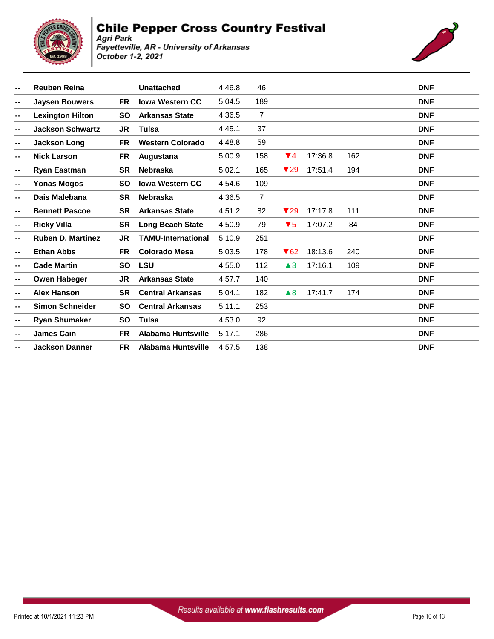



| --     | <b>Reuben Reina</b>      |           | <b>Unattached</b>         | 4:46.8 | 46             |                         |         |     | <b>DNF</b> |
|--------|--------------------------|-----------|---------------------------|--------|----------------|-------------------------|---------|-----|------------|
| --     | <b>Jaysen Bouwers</b>    | <b>FR</b> | <b>Iowa Western CC</b>    | 5:04.5 | 189            |                         |         |     | <b>DNF</b> |
| $\sim$ | <b>Lexington Hilton</b>  | <b>SO</b> | <b>Arkansas State</b>     | 4:36.5 | $\overline{7}$ |                         |         |     | <b>DNF</b> |
| --     | <b>Jackson Schwartz</b>  | JR.       | Tulsa                     | 4:45.1 | 37             |                         |         |     | <b>DNF</b> |
| --     | <b>Jackson Long</b>      | <b>FR</b> | <b>Western Colorado</b>   | 4:48.8 | 59             |                         |         |     | <b>DNF</b> |
| --     | <b>Nick Larson</b>       | <b>FR</b> | Augustana                 | 5:00.9 | 158            | $\blacktriangledown$ 4  | 17:36.8 | 162 | <b>DNF</b> |
| --     | <b>Ryan Eastman</b>      | <b>SR</b> | <b>Nebraska</b>           | 5:02.1 | 165            | $\blacktriangledown$ 29 | 17:51.4 | 194 | <b>DNF</b> |
| --     | <b>Yonas Mogos</b>       | <b>SO</b> | <b>Iowa Western CC</b>    | 4:54.6 | 109            |                         |         |     | <b>DNF</b> |
| --     | Dais Malebana            | <b>SR</b> | <b>Nebraska</b>           | 4:36.5 | $\overline{7}$ |                         |         |     | <b>DNF</b> |
| --     | <b>Bennett Pascoe</b>    | <b>SR</b> | <b>Arkansas State</b>     | 4:51.2 | 82             | $\blacktriangledown$ 29 | 17:17.8 | 111 | <b>DNF</b> |
| --     | <b>Ricky Villa</b>       | <b>SR</b> | <b>Long Beach State</b>   | 4:50.9 | 79             | $\blacktriangledown 5$  | 17:07.2 | 84  | <b>DNF</b> |
| --     | <b>Ruben D. Martinez</b> | JR.       | <b>TAMU-International</b> | 5:10.9 | 251            |                         |         |     | <b>DNF</b> |
| --     | <b>Ethan Abbs</b>        | <b>FR</b> | <b>Colorado Mesa</b>      | 5:03.5 | 178            | $\blacktriangledown$ 62 | 18:13.6 | 240 | <b>DNF</b> |
| --     | <b>Cade Martin</b>       | <b>SO</b> | <b>LSU</b>                | 4:55.0 | 112            | $\triangle 3$           | 17:16.1 | 109 | <b>DNF</b> |
| --     | <b>Owen Habeger</b>      | JR.       | <b>Arkansas State</b>     | 4:57.7 | 140            |                         |         |     | <b>DNF</b> |
| --     | <b>Alex Hanson</b>       | <b>SR</b> | <b>Central Arkansas</b>   | 5:04.1 | 182            | $\triangle$ 8           | 17:41.7 | 174 | <b>DNF</b> |
| --     | <b>Simon Schneider</b>   | <b>SO</b> | <b>Central Arkansas</b>   | 5:11.1 | 253            |                         |         |     | <b>DNF</b> |
| $\sim$ | <b>Ryan Shumaker</b>     | <b>SO</b> | <b>Tulsa</b>              | 4:53.0 | 92             |                         |         |     | <b>DNF</b> |
| $\sim$ | <b>James Cain</b>        | <b>FR</b> | <b>Alabama Huntsville</b> | 5:17.1 | 286            |                         |         |     | <b>DNF</b> |
|        | <b>Jackson Danner</b>    | <b>FR</b> | Alabama Huntsville        | 4:57.5 | 138            |                         |         |     | <b>DNF</b> |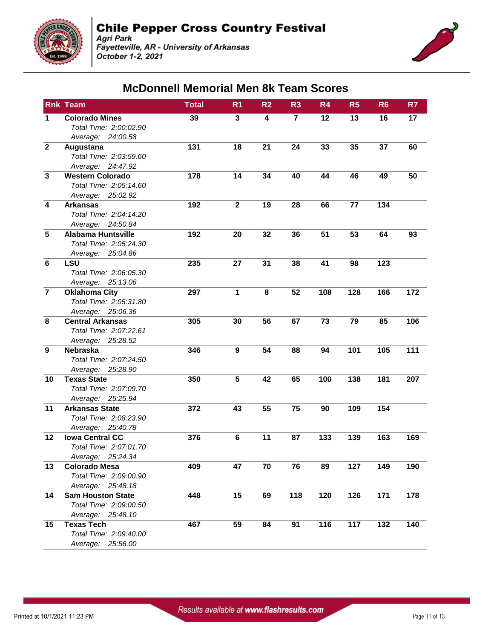

Agri Park<br>Fayetteville, AR - University of Arkansas October 1-2, 2021



#### **McDonnell Memorial Men 8k Team Scores**

|                         | <b>Rnk Team</b>               | <b>Total</b> | R <sub>1</sub> | R <sub>2</sub> | R <sub>3</sub> | R <sub>4</sub> | R <sub>5</sub> | R <sub>6</sub> | R7  |
|-------------------------|-------------------------------|--------------|----------------|----------------|----------------|----------------|----------------|----------------|-----|
| 1                       | <b>Colorado Mines</b>         | 39           | 3              | 4              | $\overline{7}$ | 12             | 13             | 16             | 17  |
|                         | Total Time: 2:00:02.90        |              |                |                |                |                |                |                |     |
|                         | Average: 24:00.58             |              |                |                |                |                |                |                |     |
| $\mathbf{2}$            | Augustana                     | 131          | 18             | 21             | 24             | 33             | 35             | 37             | 60  |
|                         | Total Time: 2:03:59.60        |              |                |                |                |                |                |                |     |
|                         | Average: 24:47.92             |              |                |                |                |                |                |                |     |
| $\overline{\mathbf{3}}$ | <b>Western Colorado</b>       | 178          | 14             | 34             | 40             | 44             | 46             | 49             | 50  |
|                         | Total Time: 2:05:14.60        |              |                |                |                |                |                |                |     |
|                         | Average: 25:02.92             |              |                |                |                |                |                |                |     |
| $\overline{\mathbf{4}}$ | <b>Arkansas</b>               | 192          | $\mathbf{2}$   | 19             | 28             | 66             | 77             | 134            |     |
|                         | Total Time: 2:04:14.20        |              |                |                |                |                |                |                |     |
|                         | Average: 24:50.84             |              |                |                |                |                |                |                |     |
| $\overline{5}$          | <b>Alabama Huntsville</b>     | 192          | 20             | 32             | 36             | 51             | 53             | 64             | 93  |
|                         | Total Time: 2:05:24.30        |              |                |                |                |                |                |                |     |
|                         | Average: 25:04.86             |              |                |                |                |                |                |                |     |
| $\bf 6$                 | <b>LSU</b>                    | 235          | 27             | 31             | 38             | 41             | 98             | 123            |     |
|                         | Total Time: 2:06:05.30        |              |                |                |                |                |                |                |     |
| $\overline{7}$          | Average: 25:13.06             |              |                |                |                |                |                |                |     |
|                         | <b>Oklahoma City</b>          | 297          | $\mathbf{1}$   | 8              | 52             | 108            | 128            | 166            | 172 |
|                         | Total Time: 2:05:31.80        |              |                |                |                |                |                |                |     |
| 8                       | Average: 25:06.36             |              |                |                |                |                |                |                |     |
|                         | <b>Central Arkansas</b>       | 305          | 30             | 56             | 67             | 73             | 79             | 85             | 106 |
|                         | Total Time: 2:07:22.61        |              |                |                |                |                |                |                |     |
| $\boldsymbol{9}$        | Average: 25:28.52<br>Nebraska | 346          | 9              | 54             | 88             | 94             | 101            | 105            | 111 |
|                         | Total Time: 2:07:24.50        |              |                |                |                |                |                |                |     |
|                         | Average: 25:28.90             |              |                |                |                |                |                |                |     |
| 10                      | <b>Texas State</b>            | 350          | 5              | 42             | 65             | 100            | 138            | 181            | 207 |
|                         | Total Time: 2:07:09.70        |              |                |                |                |                |                |                |     |
|                         | Average: 25:25.94             |              |                |                |                |                |                |                |     |
| 11                      | <b>Arkansas State</b>         | 372          | 43             | 55             | 75             | 90             | 109            | 154            |     |
|                         | Total Time: 2:08:23.90        |              |                |                |                |                |                |                |     |
|                         | Average: 25:40.78             |              |                |                |                |                |                |                |     |
| 12                      | <b>Iowa Central CC</b>        | 376          | $\bf 6$        | 11             | 87             | 133            | 139            | 163            | 169 |
|                         | Total Time: 2:07:01.70        |              |                |                |                |                |                |                |     |
|                         | Average: 25:24.34             |              |                |                |                |                |                |                |     |
| 13                      | <b>Colorado Mesa</b>          | 409          | 47             | 70             | 76             | 89             | 127            | 149            | 190 |
|                         | Total Time: 2:09:00.90        |              |                |                |                |                |                |                |     |
|                         | Average: 25:48.18             |              |                |                |                |                |                |                |     |
| 14                      | <b>Sam Houston State</b>      | 448          | 15             | 69             | 118            | 120            | 126            | 171            | 178 |
|                         | Total Time: 2:09:00.50        |              |                |                |                |                |                |                |     |
|                         | Average: 25:48.10             |              |                |                |                |                |                |                |     |
| 15                      | <b>Texas Tech</b>             | 467          | 59             | 84             | 91             | 116            | 117            | 132            | 140 |
|                         | Total Time: 2:09:40.00        |              |                |                |                |                |                |                |     |
|                         | Average: 25:56.00             |              |                |                |                |                |                |                |     |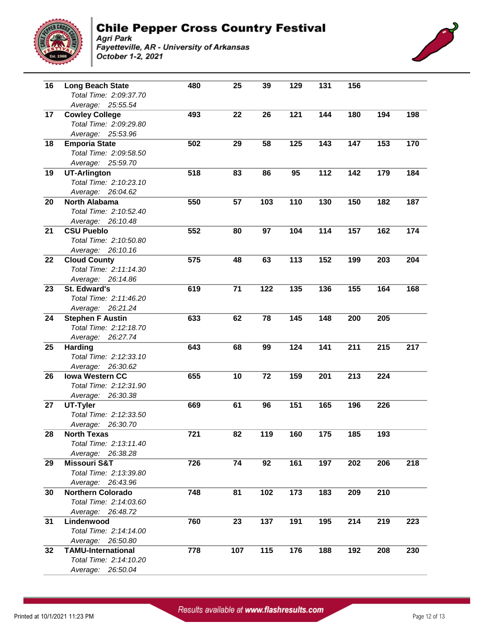



| 16              | <b>Long Beach State</b>   | 480 | 25  | 39               | 129 | 131              | 156              |     |     |
|-----------------|---------------------------|-----|-----|------------------|-----|------------------|------------------|-----|-----|
|                 | Total Time: 2:09:37.70    |     |     |                  |     |                  |                  |     |     |
|                 | Average: 25:55.54         |     |     |                  |     |                  |                  |     |     |
| 17              | <b>Cowley College</b>     | 493 | 22  | 26               | 121 | 144              | 180              | 194 | 198 |
|                 | Total Time: 2:09:29.80    |     |     |                  |     |                  |                  |     |     |
|                 | Average: 25:53.96         |     |     |                  |     |                  |                  |     |     |
| 18              | <b>Emporia State</b>      | 502 | 29  | 58               | 125 | 143              | 147              | 153 | 170 |
|                 | Total Time: 2:09:58.50    |     |     |                  |     |                  |                  |     |     |
|                 | Average: 25:59.70         |     |     |                  |     |                  |                  |     |     |
| 19              | <b>UT-Arlington</b>       | 518 | 83  | 86               | 95  | 112              | 142              | 179 | 184 |
|                 | Total Time: 2:10:23.10    |     |     |                  |     |                  |                  |     |     |
|                 | Average: 26:04.62         |     |     |                  |     |                  |                  |     |     |
| 20              | <b>North Alabama</b>      | 550 | 57  | 103              | 110 | 130              | 150              | 182 | 187 |
|                 | Total Time: 2:10:52.40    |     |     |                  |     |                  |                  |     |     |
|                 | Average: 26:10.48         |     |     |                  |     |                  |                  |     |     |
| 21              | <b>CSU Pueblo</b>         | 552 | 80  | 97               | 104 | 114              | 157              | 162 | 174 |
|                 | Total Time: 2:10:50.80    |     |     |                  |     |                  |                  |     |     |
|                 | Average: 26:10.16         |     |     |                  |     |                  |                  |     |     |
| 22              | <b>Cloud County</b>       | 575 | 48  | 63               | 113 | 152              | 199              | 203 | 204 |
|                 | Total Time: 2:11:14.30    |     |     |                  |     |                  |                  |     |     |
|                 | Average: 26:14.86         |     |     |                  |     |                  |                  |     |     |
| 23              | St. Edward's              | 619 | 71  | 122              | 135 | 136              | 155              | 164 | 168 |
|                 | Total Time: 2:11:46.20    |     |     |                  |     |                  |                  |     |     |
|                 | Average: 26:21.24         |     |     |                  |     |                  |                  |     |     |
| $\overline{24}$ | <b>Stephen F Austin</b>   | 633 | 62  | 78               | 145 | 148              | 200              | 205 |     |
|                 | Total Time: 2:12:18.70    |     |     |                  |     |                  |                  |     |     |
|                 | Average: 26:27.74         |     |     |                  |     |                  |                  |     |     |
| $\overline{25}$ | Harding                   | 643 | 68  | 99               | 124 | $\overline{141}$ | 211              | 215 | 217 |
|                 | Total Time: 2:12:33.10    |     |     |                  |     |                  |                  |     |     |
|                 | Average: 26:30.62         |     |     |                  |     |                  |                  |     |     |
| $\overline{26}$ | <b>Iowa Western CC</b>    | 655 | 10  | $\overline{72}$  | 159 | 201              | $\overline{213}$ | 224 |     |
|                 | Total Time: 2:12:31.90    |     |     |                  |     |                  |                  |     |     |
|                 | Average: 26:30.38         |     |     |                  |     |                  |                  |     |     |
| $\overline{27}$ | UT-Tyler                  | 669 | 61  | 96               | 151 | 165              | 196              | 226 |     |
|                 | Total Time: 2:12:33.50    |     |     |                  |     |                  |                  |     |     |
|                 | Average: 26:30.70         |     |     |                  |     |                  |                  |     |     |
| $\overline{28}$ | <b>North Texas</b>        | 721 | 82  | 119              | 160 | 175              | 185              | 193 |     |
|                 | Total Time: 2:13:11.40    |     |     |                  |     |                  |                  |     |     |
|                 | Average: 26:38.28         |     |     |                  |     |                  |                  |     |     |
| 29              | <b>Missouri S&amp;T</b>   | 726 | 74  | 92               | 161 | 197              | 202              | 206 | 218 |
|                 | Total Time: 2:13:39.80    |     |     |                  |     |                  |                  |     |     |
|                 | Average: 26:43.96         |     |     |                  |     |                  |                  |     |     |
| 30              | <b>Northern Colorado</b>  | 748 | 81  | $\overline{102}$ | 173 | 183              | 209              | 210 |     |
|                 | Total Time: 2:14:03.60    |     |     |                  |     |                  |                  |     |     |
|                 | Average: 26:48.72         |     |     |                  |     |                  |                  |     |     |
| 31              | Lindenwood                | 760 | 23  | 137              | 191 | 195              | 214              | 219 | 223 |
|                 | Total Time: 2:14:14.00    |     |     |                  |     |                  |                  |     |     |
|                 | Average: 26:50.80         |     |     |                  |     |                  |                  |     |     |
| 32              | <b>TAMU-International</b> | 778 | 107 | 115              | 176 | 188              | 192              | 208 | 230 |
|                 | Total Time: 2:14:10.20    |     |     |                  |     |                  |                  |     |     |
|                 | Average: 26:50.04         |     |     |                  |     |                  |                  |     |     |